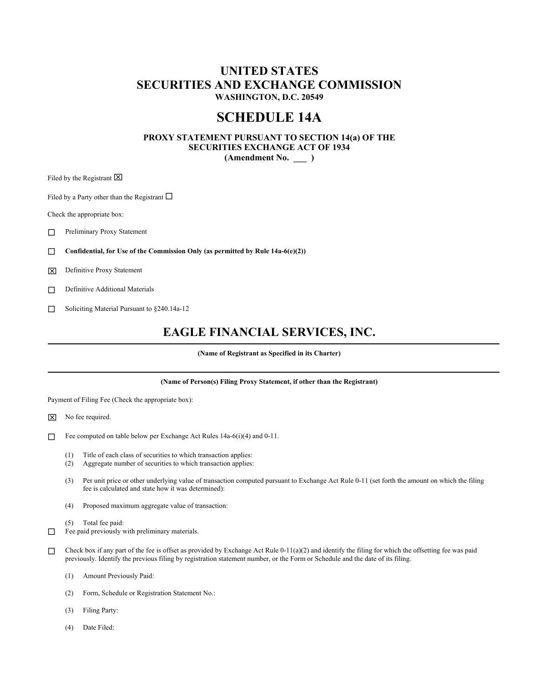# **UNITED STATES SECURITIES AND EXCHANGE COMMISSION WASHINGTON, D.C. 20549**

# **SCHEDULE 14A**

# **PROXY STATEMENT PURSUANT TO SECTION 14(a) OF THE SECURITIES EXCHANGE ACT OF 1934 (Amendment No. \_\_\_ )**

Filed by the Registrant  $\boxtimes$ 

Filed by a Party other than the Registrant  $\Box$ 

Check the appropriate box:

Preliminary Proxy Statement

**Confidential, for Use of the Commission Only (as permitted by Rule 14a-6(e)(2))** 

Definitive Proxy Statement

Definitive Additional Materials

Soliciting Material Pursuant to §240.14a-12

# **EAGLE FINANCIAL SERVICES, INC.**

**(Name of Registrant as Specified in its Charter)** 

# **(Name of Person(s) Filing Proxy Statement, if other than the Registrant)**

Payment of Filing Fee (Check the appropriate box):

 $\times$  No fee required.

- Fee computed on table below per Exchange Act Rules 14a-6(i)(4) and 0-11.
	- (1) Title of each class of securities to which transaction applies:
	- (2) Aggregate number of securities to which transaction applies:
	- (3) Per unit price or other underlying value of transaction computed pursuant to Exchange Act Rule 0-11 (set forth the amount on which the filing fee is calculated and state how it was determined):
	- (4) Proposed maximum aggregate value of transaction:
	- (5) Total fee paid:
- $\Box$  Fee paid previously with preliminary materials.
- Check box if any part of the fee is offset as provided by Exchange Act Rule 0-11(a)(2) and identify the filing for which the offsetting fee was paid previously. Identify the previous filing by registration statement number, or the Form or Schedule and the date of its filing.
	- (1) Amount Previously Paid:
	- (2) Form, Schedule or Registration Statement No.:
	- (3) Filing Party:
	- (4) Date Filed: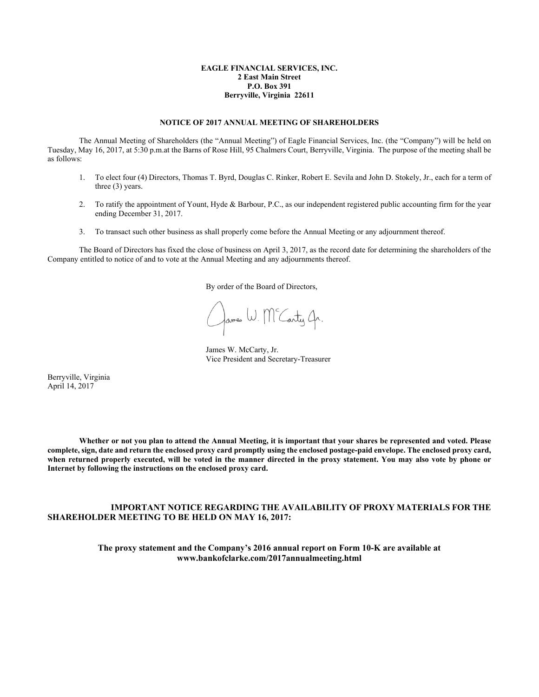## **EAGLE FINANCIAL SERVICES, INC. 2 East Main Street P.O. Box 391 Berryville, Virginia 22611**

## **NOTICE OF 2017 ANNUAL MEETING OF SHAREHOLDERS**

 The Annual Meeting of Shareholders (the "Annual Meeting") of Eagle Financial Services, Inc. (the "Company") will be held on Tuesday, May 16, 2017, at 5:30 p.m.at the Barns of Rose Hill, 95 Chalmers Court, Berryville, Virginia. The purpose of the meeting shall be as follows:

- 1. To elect four (4) Directors, Thomas T. Byrd, Douglas C. Rinker, Robert E. Sevila and John D. Stokely, Jr., each for a term of three (3) years.
- 2. To ratify the appointment of Yount, Hyde & Barbour, P.C., as our independent registered public accounting firm for the year ending December 31, 2017.
- 3. To transact such other business as shall properly come before the Annual Meeting or any adjournment thereof.

 The Board of Directors has fixed the close of business on April 3, 2017, as the record date for determining the shareholders of the Company entitled to notice of and to vote at the Annual Meeting and any adjournments thereof.

By order of the Board of Directors,

James W. Mc Carty Ar.

 James W. McCarty, Jr. Vice President and Secretary-Treasurer

Berryville, Virginia April 14, 2017

 **Whether or not you plan to attend the Annual Meeting, it is important that your shares be represented and voted. Please complete, sign, date and return the enclosed proxy card promptly using the enclosed postage-paid envelope. The enclosed proxy card, when returned properly executed, will be voted in the manner directed in the proxy statement. You may also vote by phone or Internet by following the instructions on the enclosed proxy card.** 

# **IMPORTANT NOTICE REGARDING THE AVAILABILITY OF PROXY MATERIALS FOR THE SHAREHOLDER MEETING TO BE HELD ON MAY 16, 2017:**

**The proxy statement and the Company's 2016 annual report on Form 10-K are available at www.bankofclarke.com/2017annualmeeting.html**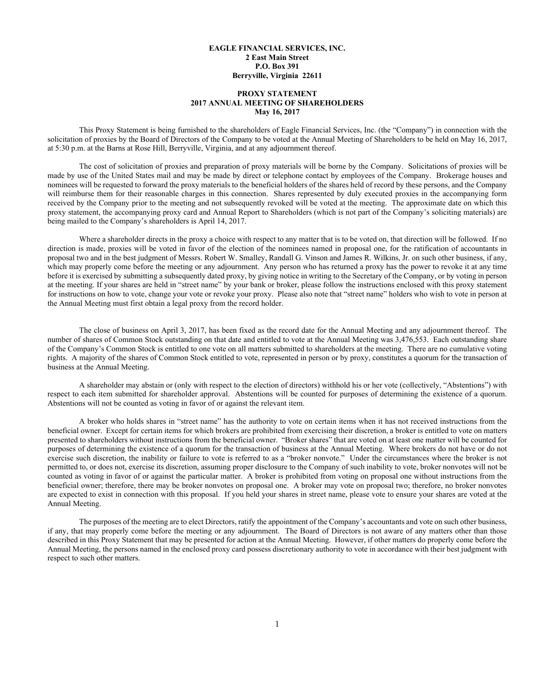## **EAGLE FINANCIAL SERVICES, INC. 2 East Main Street P.O. Box 391 Berryville, Virginia 22611**

# **PROXY STATEMENT 2017 ANNUAL MEETING OF SHAREHOLDERS May 16, 2017**

This Proxy Statement is being furnished to the shareholders of Eagle Financial Services, Inc. (the "Company") in connection with the solicitation of proxies by the Board of Directors of the Company to be voted at the Annual Meeting of Shareholders to be held on May 16, 2017, at 5:30 p.m. at the Barns at Rose Hill, Berryville, Virginia, and at any adjournment thereof.

 The cost of solicitation of proxies and preparation of proxy materials will be borne by the Company. Solicitations of proxies will be made by use of the United States mail and may be made by direct or telephone contact by employees of the Company. Brokerage houses and nominees will be requested to forward the proxy materials to the beneficial holders of the shares held of record by these persons, and the Company will reimburse them for their reasonable charges in this connection. Shares represented by duly executed proxies in the accompanying form received by the Company prior to the meeting and not subsequently revoked will be voted at the meeting. The approximate date on which this proxy statement, the accompanying proxy card and Annual Report to Shareholders (which is not part of the Company's soliciting materials) are being mailed to the Company's shareholders is April 14, 2017.

 Where a shareholder directs in the proxy a choice with respect to any matter that is to be voted on, that direction will be followed. If no direction is made, proxies will be voted in favor of the election of the nominees named in proposal one, for the ratification of accountants in proposal two and in the best judgment of Messrs. Robert W. Smalley, Randall G. Vinson and James R. Wilkins, Jr. on such other business, if any, which may properly come before the meeting or any adjournment. Any person who has returned a proxy has the power to revoke it at any time before it is exercised by submitting a subsequently dated proxy, by giving notice in writing to the Secretary of the Company, or by voting in person at the meeting. If your shares are held in "street name" by your bank or broker, please follow the instructions enclosed with this proxy statement for instructions on how to vote, change your vote or revoke your proxy. Please also note that "street name" holders who wish to vote in person at the Annual Meeting must first obtain a legal proxy from the record holder.

 The close of business on April 3, 2017, has been fixed as the record date for the Annual Meeting and any adjournment thereof. The number of shares of Common Stock outstanding on that date and entitled to vote at the Annual Meeting was 3,476,553. Each outstanding share of the Company's Common Stock is entitled to one vote on all matters submitted to shareholders at the meeting. There are no cumulative voting rights. A majority of the shares of Common Stock entitled to vote, represented in person or by proxy, constitutes a quorum for the transaction of business at the Annual Meeting.

 A shareholder may abstain or (only with respect to the election of directors) withhold his or her vote (collectively, "Abstentions") with respect to each item submitted for shareholder approval. Abstentions will be counted for purposes of determining the existence of a quorum. Abstentions will not be counted as voting in favor of or against the relevant item.

 A broker who holds shares in "street name" has the authority to vote on certain items when it has not received instructions from the beneficial owner. Except for certain items for which brokers are prohibited from exercising their discretion, a broker is entitled to vote on matters presented to shareholders without instructions from the beneficial owner. "Broker shares" that are voted on at least one matter will be counted for purposes of determining the existence of a quorum for the transaction of business at the Annual Meeting. Where brokers do not have or do not exercise such discretion, the inability or failure to vote is referred to as a "broker nonvote." Under the circumstances where the broker is not permitted to, or does not, exercise its discretion, assuming proper disclosure to the Company of such inability to vote, broker nonvotes will not be counted as voting in favor of or against the particular matter. A broker is prohibited from voting on proposal one without instructions from the beneficial owner; therefore, there may be broker nonvotes on proposal one. A broker may vote on proposal two; therefore, no broker nonvotes are expected to exist in connection with this proposal. If you held your shares in street name, please vote to ensure your shares are voted at the Annual Meeting.

 The purposes of the meeting are to elect Directors, ratify the appointment of the Company's accountants and vote on such other business, if any, that may properly come before the meeting or any adjournment. The Board of Directors is not aware of any matters other than those described in this Proxy Statement that may be presented for action at the Annual Meeting. However, if other matters do properly come before the Annual Meeting, the persons named in the enclosed proxy card possess discretionary authority to vote in accordance with their best judgment with respect to such other matters.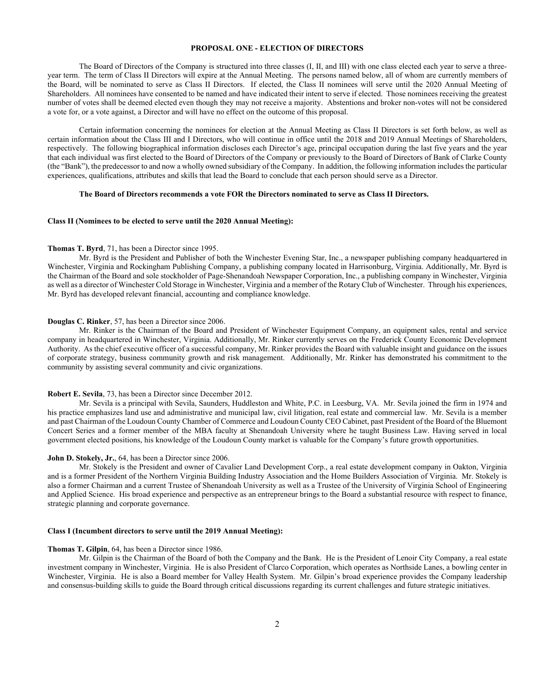## **PROPOSAL ONE - ELECTION OF DIRECTORS**

 The Board of Directors of the Company is structured into three classes (I, II, and III) with one class elected each year to serve a threeyear term. The term of Class II Directors will expire at the Annual Meeting. The persons named below, all of whom are currently members of the Board, will be nominated to serve as Class II Directors. If elected, the Class II nominees will serve until the 2020 Annual Meeting of Shareholders. All nominees have consented to be named and have indicated their intent to serve if elected. Those nominees receiving the greatest number of votes shall be deemed elected even though they may not receive a majority. Abstentions and broker non-votes will not be considered a vote for, or a vote against, a Director and will have no effect on the outcome of this proposal.

 Certain information concerning the nominees for election at the Annual Meeting as Class II Directors is set forth below, as well as certain information about the Class III and I Directors, who will continue in office until the 2018 and 2019 Annual Meetings of Shareholders, respectively. The following biographical information discloses each Director's age, principal occupation during the last five years and the year that each individual was first elected to the Board of Directors of the Company or previously to the Board of Directors of Bank of Clarke County (the "Bank"), the predecessor to and now a wholly owned subsidiary of the Company. In addition, the following information includes the particular experiences, qualifications, attributes and skills that lead the Board to conclude that each person should serve as a Director.

## **The Board of Directors recommends a vote FOR the Directors nominated to serve as Class II Directors.**

## **Class II (Nominees to be elected to serve until the 2020 Annual Meeting):**

#### **Thomas T. Byrd**, 71, has been a Director since 1995.

 Mr. Byrd is the President and Publisher of both the Winchester Evening Star, Inc., a newspaper publishing company headquartered in Winchester, Virginia and Rockingham Publishing Company, a publishing company located in Harrisonburg, Virginia. Additionally, Mr. Byrd is the Chairman of the Board and sole stockholder of Page-Shenandoah Newspaper Corporation, Inc., a publishing company in Winchester, Virginia as well as a director of Winchester Cold Storage in Winchester, Virginia and a member of the Rotary Club of Winchester. Through his experiences, Mr. Byrd has developed relevant financial, accounting and compliance knowledge.

#### **Douglas C. Rinker**, 57, has been a Director since 2006.

 Mr. Rinker is the Chairman of the Board and President of Winchester Equipment Company, an equipment sales, rental and service company in headquartered in Winchester, Virginia. Additionally, Mr. Rinker currently serves on the Frederick County Economic Development Authority. As the chief executive officer of a successful company, Mr. Rinker provides the Board with valuable insight and guidance on the issues of corporate strategy, business community growth and risk management. Additionally, Mr. Rinker has demonstrated his commitment to the community by assisting several community and civic organizations.

#### **Robert E. Sevila**, 73, has been a Director since December 2012.

 Mr. Sevila is a principal with Sevila, Saunders, Huddleston and White, P.C. in Leesburg, VA. Mr. Sevila joined the firm in 1974 and his practice emphasizes land use and administrative and municipal law, civil litigation, real estate and commercial law. Mr. Sevila is a member and past Chairman of the Loudoun County Chamber of Commerce and Loudoun County CEO Cabinet, past President of the Board of the Bluemont Concert Series and a former member of the MBA faculty at Shenandoah University where he taught Business Law. Having served in local government elected positions, his knowledge of the Loudoun County market is valuable for the Company's future growth opportunities.

#### **John D. Stokely, Jr.**, 64, has been a Director since 2006.

 Mr. Stokely is the President and owner of Cavalier Land Development Corp., a real estate development company in Oakton, Virginia and is a former President of the Northern Virginia Building Industry Association and the Home Builders Association of Virginia. Mr. Stokely is also a former Chairman and a current Trustee of Shenandoah University as well as a Trustee of the University of Virginia School of Engineering and Applied Science. His broad experience and perspective as an entrepreneur brings to the Board a substantial resource with respect to finance, strategic planning and corporate governance.

#### **Class I (Incumbent directors to serve until the 2019 Annual Meeting):**

#### **Thomas T. Gilpin**, 64, has been a Director since 1986.

 Mr. Gilpin is the Chairman of the Board of both the Company and the Bank. He is the President of Lenoir City Company, a real estate investment company in Winchester, Virginia. He is also President of Clarco Corporation, which operates as Northside Lanes, a bowling center in Winchester, Virginia. He is also a Board member for Valley Health System. Mr. Gilpin's broad experience provides the Company leadership and consensus-building skills to guide the Board through critical discussions regarding its current challenges and future strategic initiatives.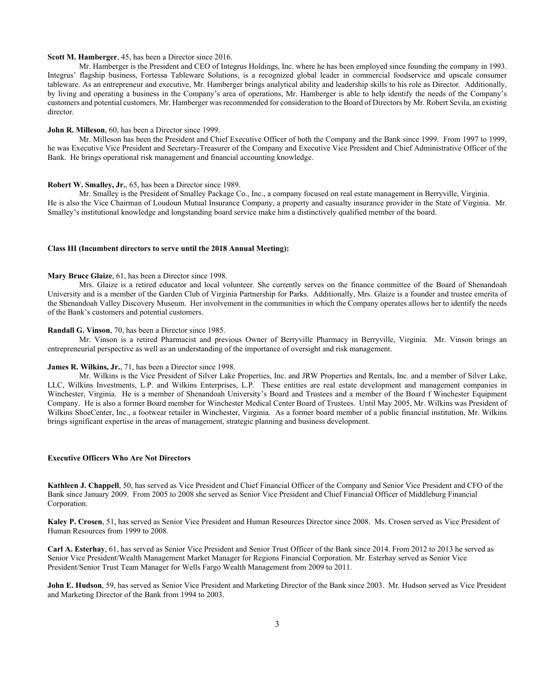## **Scott M. Hamberger**, 45, has been a Director since 2016.

 Mr. Hamberger is the President and CEO of Integrus Holdings, Inc. where he has been employed since founding the company in 1993. Integrus' flagship business, Fortessa Tableware Solutions, is a recognized global leader in commercial foodservice and upscale consumer tableware. As an entrepreneur and executive, Mr. Hamberger brings analytical ability and leadership skills to his role as Director. Additionally, by living and operating a business in the Company's area of operations, Mr. Hamberger is able to help identify the needs of the Company's customers and potential customers. Mr. Hamberger was recommended for consideration to the Board of Directors by Mr. Robert Sevila, an existing director.

#### **John R. Milleson**, 60, has been a Director since 1999.

 Mr. Milleson has been the President and Chief Executive Officer of both the Company and the Bank since 1999. From 1997 to 1999, he was Executive Vice President and Secretary-Treasurer of the Company and Executive Vice President and Chief Administrative Officer of the Bank. He brings operational risk management and financial accounting knowledge.

#### **Robert W. Smalley, Jr.**, 65, has been a Director since 1989.

 Mr. Smalley is the President of Smalley Package Co., Inc., a company focused on real estate management in Berryville, Virginia. He is also the Vice Chairman of Loudoun Mutual Insurance Company, a property and casualty insurance provider in the State of Virginia. Mr. Smalley's institutional knowledge and longstanding board service make him a distinctively qualified member of the board.

#### **Class III (Incumbent directors to serve until the 2018 Annual Meeting):**

#### **Mary Bruce Glaize**, 61, has been a Director since 1998.

Mrs. Glaize is a retired educator and local volunteer. She currently serves on the finance committee of the Board of Shenandoah University and is a member of the Garden Club of Virginia Partnership for Parks. Additionally, Mrs. Glaize is a founder and trustee emerita of the Shenandoah Valley Discovery Museum. Her involvement in the communities in which the Company operates allows her to identify the needs of the Bank's customers and potential customers.

#### **Randall G. Vinson**, 70, has been a Director since 1985.

 Mr. Vinson is a retired Pharmacist and previous Owner of Berryville Pharmacy in Berryville, Virginia. Mr. Vinson brings an entrepreneurial perspective as well as an understanding of the importance of oversight and risk management.

## **James R. Wilkins, Jr.**, 71, has been a Director since 1998.

 Mr. Wilkins is the Vice President of Silver Lake Properties, Inc. and JRW Properties and Rentals, Inc. and a member of Silver Lake, LLC, Wilkins Investments, L.P. and Wilkins Enterprises, L.P. These entities are real estate development and management companies in Winchester, Virginia. He is a member of Shenandoah University's Board and Trustees and a member of the Board f Winchester Equipment Company. He is also a former Board member for Winchester Medical Center Board of Trustees. Until May 2005, Mr. Wilkins was President of Wilkins ShoeCenter, Inc., a footwear retailer in Winchester, Virginia. As a former board member of a public financial institution, Mr. Wilkins brings significant expertise in the areas of management, strategic planning and business development.

## **Executive Officers Who Are Not Directors**

**Kathleen J. Chappell**, 50, has served as Vice President and Chief Financial Officer of the Company and Senior Vice President and CFO of the Bank since January 2009. From 2005 to 2008 she served as Senior Vice President and Chief Financial Officer of Middleburg Financial Corporation.

**Kaley P. Crosen**, 51, has served as Senior Vice President and Human Resources Director since 2008. Ms. Crosen served as Vice President of Human Resources from 1999 to 2008.

**Carl A. Esterhay**, 61, has served as Senior Vice President and Senior Trust Officer of the Bank since 2014. From 2012 to 2013 he served as Senior Vice President/Wealth Management Market Manager for Regions Financial Corporation. Mr. Esterhay served as Senior Vice President/Senior Trust Team Manager for Wells Fargo Wealth Management from 2009 to 2011.

**John E. Hudson**, 59, has served as Senior Vice President and Marketing Director of the Bank since 2003. Mr. Hudson served as Vice President and Marketing Director of the Bank from 1994 to 2003.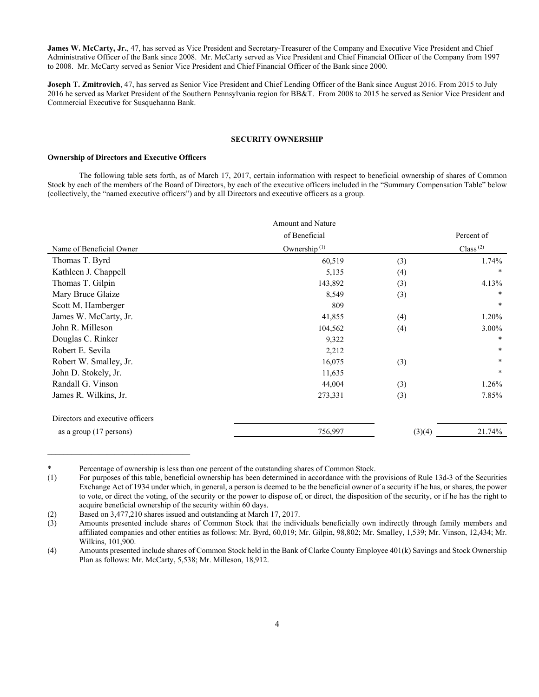**James W. McCarty, Jr.**, 47, has served as Vice President and Secretary-Treasurer of the Company and Executive Vice President and Chief Administrative Officer of the Bank since 2008. Mr. McCarty served as Vice President and Chief Financial Officer of the Company from 1997 to 2008. Mr. McCarty served as Senior Vice President and Chief Financial Officer of the Bank since 2000.

**Joseph T. Zmitrovich**, 47, has served as Senior Vice President and Chief Lending Officer of the Bank since August 2016. From 2015 to July 2016 he served as Market President of the Southern Pennsylvania region for BB&T. From 2008 to 2015 he served as Senior Vice President and Commercial Executive for Susquehanna Bank.

# **SECURITY OWNERSHIP**

#### **Ownership of Directors and Executive Officers**

 The following table sets forth, as of March 17, 2017, certain information with respect to beneficial ownership of shares of Common Stock by each of the members of the Board of Directors, by each of the executive officers included in the "Summary Compensation Table" below (collectively, the "named executive officers") and by all Directors and executive officers as a group.

|                                  | Amount and Nature |        |             |
|----------------------------------|-------------------|--------|-------------|
|                                  | of Beneficial     |        | Percent of  |
| Name of Beneficial Owner         | Ownership $(1)$   |        | Class $(2)$ |
| Thomas T. Byrd                   | 60,519            | (3)    | 1.74%       |
| Kathleen J. Chappell             | 5,135             | (4)    | $\ast$      |
| Thomas T. Gilpin                 | 143,892           | (3)    | 4.13%       |
| Mary Bruce Glaize                | 8,549             | (3)    | $\ast$      |
| Scott M. Hamberger               | 809               |        | $\ast$      |
| James W. McCarty, Jr.            | 41,855            | (4)    | 1.20%       |
| John R. Milleson                 | 104,562           | (4)    | $3.00\%$    |
| Douglas C. Rinker                | 9,322             |        | $\ast$      |
| Robert E. Sevila                 | 2,212             |        | $\ast$      |
| Robert W. Smalley, Jr.           | 16,075            | (3)    | $\ast$      |
| John D. Stokely, Jr.             | 11,635            |        | $\ast$      |
| Randall G. Vinson                | 44,004            | (3)    | 1.26%       |
| James R. Wilkins, Jr.            | 273,331           | (3)    | 7.85%       |
| Directors and executive officers |                   |        |             |
| as a group (17 persons)          | 756,997           | (3)(4) | 21.74%      |

<sup>\*</sup> Percentage of ownership is less than one percent of the outstanding shares of Common Stock.

<sup>(1)</sup> For purposes of this table, beneficial ownership has been determined in accordance with the provisions of Rule 13d-3 of the Securities Exchange Act of 1934 under which, in general, a person is deemed to be the beneficial owner of a security if he has, or shares, the power to vote, or direct the voting, of the security or the power to dispose of, or direct, the disposition of the security, or if he has the right to acquire beneficial ownership of the security within 60 days.

<sup>(2)</sup> Based on 3,477,210 shares issued and outstanding at March 17, 2017.

<sup>(3)</sup> Amounts presented include shares of Common Stock that the individuals beneficially own indirectly through family members and affiliated companies and other entities as follows: Mr. Byrd, 60,019; Mr. Gilpin, 98,802; Mr. Smalley, 1,539; Mr. Vinson, 12,434; Mr. Wilkins, 101,900.

<sup>(4)</sup> Amounts presented include shares of Common Stock held in the Bank of Clarke County Employee 401(k) Savings and Stock Ownership Plan as follows: Mr. McCarty, 5,538; Mr. Milleson, 18,912.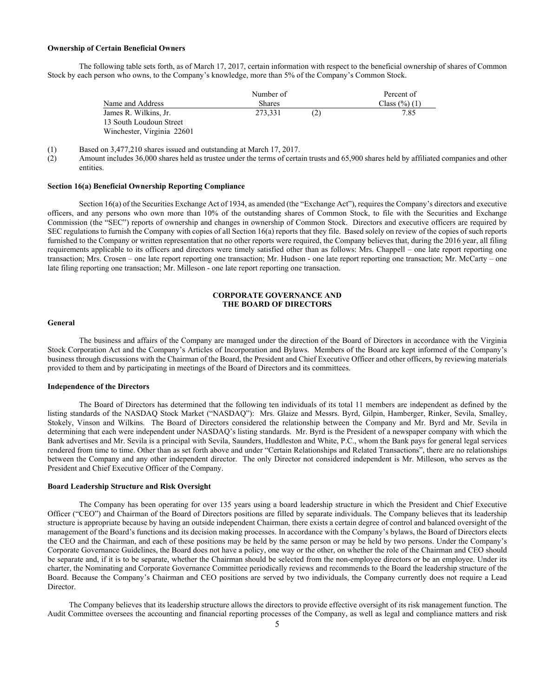#### **Ownership of Certain Beneficial Owners**

 The following table sets forth, as of March 17, 2017, certain information with respect to the beneficial ownership of shares of Common Stock by each person who owns, to the Company's knowledge, more than 5% of the Company's Common Stock.

|                            | Number of     | Percent of |                           |
|----------------------------|---------------|------------|---------------------------|
| Name and Address           | <b>Shares</b> |            | Class $(\frac{6}{6})$ (1) |
| James R. Wilkins, Jr.      | 273.331       | (2)        | 7.85                      |
| 13 South Loudoun Street    |               |            |                           |
| Winchester, Virginia 22601 |               |            |                           |

(1) Based on 3,477,210 shares issued and outstanding at March 17, 2017.

(2) Amount includes 36,000 shares held as trustee under the terms of certain trusts and 65,900 shares held by affiliated companies and other entities.

## **Section 16(a) Beneficial Ownership Reporting Compliance**

 Section 16(a) of the Securities Exchange Act of 1934, as amended (the "Exchange Act"), requires the Company's directors and executive officers, and any persons who own more than 10% of the outstanding shares of Common Stock, to file with the Securities and Exchange Commission (the "SEC") reports of ownership and changes in ownership of Common Stock. Directors and executive officers are required by SEC regulations to furnish the Company with copies of all Section 16(a) reports that they file. Based solely on review of the copies of such reports furnished to the Company or written representation that no other reports were required, the Company believes that, during the 2016 year, all filing requirements applicable to its officers and directors were timely satisfied other than as follows: Mrs. Chappell – one late report reporting one transaction; Mrs. Crosen – one late report reporting one transaction; Mr. Hudson - one late report reporting one transaction; Mr. McCarty – one late filing reporting one transaction; Mr. Milleson - one late report reporting one transaction.

# **CORPORATE GOVERNANCE AND THE BOARD OF DIRECTORS**

## **General**

 The business and affairs of the Company are managed under the direction of the Board of Directors in accordance with the Virginia Stock Corporation Act and the Company's Articles of Incorporation and Bylaws. Members of the Board are kept informed of the Company's business through discussions with the Chairman of the Board, the President and Chief Executive Officer and other officers, by reviewing materials provided to them and by participating in meetings of the Board of Directors and its committees.

## **Independence of the Directors**

 The Board of Directors has determined that the following ten individuals of its total 11 members are independent as defined by the listing standards of the NASDAQ Stock Market ("NASDAQ"): Mrs. Glaize and Messrs. Byrd, Gilpin, Hamberger, Rinker, Sevila, Smalley, Stokely, Vinson and Wilkins. The Board of Directors considered the relationship between the Company and Mr. Byrd and Mr. Sevila in determining that each were independent under NASDAQ's listing standards. Mr. Byrd is the President of a newspaper company with which the Bank advertises and Mr. Sevila is a principal with Sevila, Saunders, Huddleston and White, P.C., whom the Bank pays for general legal services rendered from time to time. Other than as set forth above and under "Certain Relationships and Related Transactions", there are no relationships between the Company and any other independent director. The only Director not considered independent is Mr. Milleson, who serves as the President and Chief Executive Officer of the Company.

## **Board Leadership Structure and Risk Oversight**

The Company has been operating for over 135 years using a board leadership structure in which the President and Chief Executive Officer ("CEO") and Chairman of the Board of Directors positions are filled by separate individuals. The Company believes that its leadership structure is appropriate because by having an outside independent Chairman, there exists a certain degree of control and balanced oversight of the management of the Board's functions and its decision making processes. In accordance with the Company's bylaws, the Board of Directors elects the CEO and the Chairman, and each of these positions may be held by the same person or may be held by two persons. Under the Company's Corporate Governance Guidelines, the Board does not have a policy, one way or the other, on whether the role of the Chairman and CEO should be separate and, if it is to be separate, whether the Chairman should be selected from the non-employee directors or be an employee. Under its charter, the Nominating and Corporate Governance Committee periodically reviews and recommends to the Board the leadership structure of the Board. Because the Company's Chairman and CEO positions are served by two individuals, the Company currently does not require a Lead Director.

The Company believes that its leadership structure allows the directors to provide effective oversight of its risk management function. The Audit Committee oversees the accounting and financial reporting processes of the Company, as well as legal and compliance matters and risk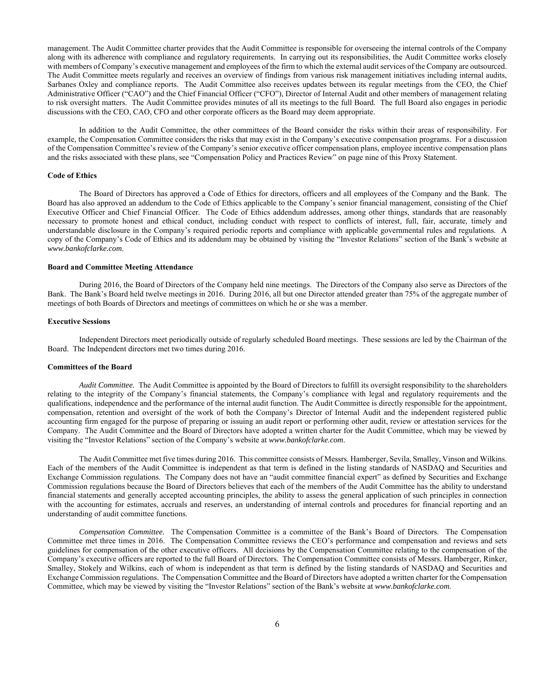management. The Audit Committee charter provides that the Audit Committee is responsible for overseeing the internal controls of the Company along with its adherence with compliance and regulatory requirements. In carrying out its responsibilities, the Audit Committee works closely with members of Company's executive management and employees of the firm to which the external audit services of the Company are outsourced. The Audit Committee meets regularly and receives an overview of findings from various risk management initiatives including internal audits, Sarbanes Oxley and compliance reports. The Audit Committee also receives updates between its regular meetings from the CEO, the Chief Administrative Officer ("CAO") and the Chief Financial Officer ("CFO"), Director of Internal Audit and other members of management relating to risk oversight matters. The Audit Committee provides minutes of all its meetings to the full Board. The full Board also engages in periodic discussions with the CEO, CAO, CFO and other corporate officers as the Board may deem appropriate.

In addition to the Audit Committee, the other committees of the Board consider the risks within their areas of responsibility. For example, the Compensation Committee considers the risks that may exist in the Company's executive compensation programs. For a discussion of the Compensation Committee's review of the Company's senior executive officer compensation plans, employee incentive compensation plans and the risks associated with these plans, see "Compensation Policy and Practices Review" on page nine of this Proxy Statement.

#### **Code of Ethics**

 The Board of Directors has approved a Code of Ethics for directors, officers and all employees of the Company and the Bank. The Board has also approved an addendum to the Code of Ethics applicable to the Company's senior financial management, consisting of the Chief Executive Officer and Chief Financial Officer. The Code of Ethics addendum addresses, among other things, standards that are reasonably necessary to promote honest and ethical conduct, including conduct with respect to conflicts of interest, full, fair, accurate, timely and understandable disclosure in the Company's required periodic reports and compliance with applicable governmental rules and regulations. A copy of the Company's Code of Ethics and its addendum may be obtained by visiting the "Investor Relations" section of the Bank's website at *www.bankofclarke.com*.

### **Board and Committee Meeting Attendance**

 During 2016, the Board of Directors of the Company held nine meetings. The Directors of the Company also serve as Directors of the Bank. The Bank's Board held twelve meetings in 2016. During 2016, all but one Director attended greater than 75% of the aggregate number of meetings of both Boards of Directors and meetings of committees on which he or she was a member.

#### **Executive Sessions**

 Independent Directors meet periodically outside of regularly scheduled Board meetings. These sessions are led by the Chairman of the Board. The Independent directors met two times during 2016.

## **Committees of the Board**

*Audit Committee.* The Audit Committee is appointed by the Board of Directors to fulfill its oversight responsibility to the shareholders relating to the integrity of the Company's financial statements, the Company's compliance with legal and regulatory requirements and the qualifications, independence and the performance of the internal audit function. The Audit Committee is directly responsible for the appointment, compensation, retention and oversight of the work of both the Company's Director of Internal Audit and the independent registered public accounting firm engaged for the purpose of preparing or issuing an audit report or performing other audit, review or attestation services for the Company. The Audit Committee and the Board of Directors have adopted a written charter for the Audit Committee, which may be viewed by visiting the "Investor Relations" section of the Company's website at *www.bankofclarke.com*.

 The Audit Committee met five times during 2016. This committee consists of Messrs. Hamberger, Sevila, Smalley, Vinson and Wilkins. Each of the members of the Audit Committee is independent as that term is defined in the listing standards of NASDAQ and Securities and Exchange Commission regulations. The Company does not have an "audit committee financial expert" as defined by Securities and Exchange Commission regulations because the Board of Directors believes that each of the members of the Audit Committee has the ability to understand financial statements and generally accepted accounting principles, the ability to assess the general application of such principles in connection with the accounting for estimates, accruals and reserves, an understanding of internal controls and procedures for financial reporting and an understanding of audit committee functions.

 *Compensation Committee.* The Compensation Committee is a committee of the Bank's Board of Directors. The Compensation Committee met three times in 2016. The Compensation Committee reviews the CEO's performance and compensation and reviews and sets guidelines for compensation of the other executive officers. All decisions by the Compensation Committee relating to the compensation of the Company's executive officers are reported to the full Board of Directors. The Compensation Committee consists of Messrs. Hamberger, Rinker, Smalley, Stokely and Wilkins, each of whom is independent as that term is defined by the listing standards of NASDAQ and Securities and Exchange Commission regulations. The Compensation Committee and the Board of Directors have adopted a written charter for the Compensation Committee, which may be viewed by visiting the "Investor Relations" section of the Bank's website at *www.bankofclarke.com*.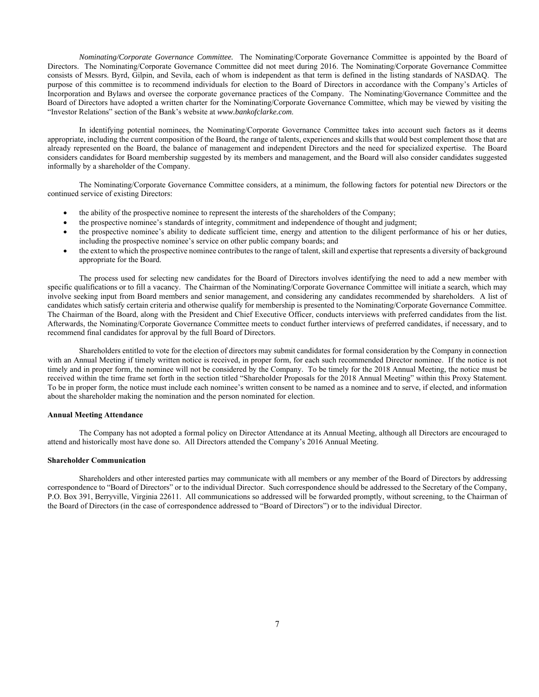*Nominating/Corporate Governance Committee.* The Nominating/Corporate Governance Committee is appointed by the Board of Directors. The Nominating/Corporate Governance Committee did not meet during 2016. The Nominating/Corporate Governance Committee consists of Messrs. Byrd, Gilpin, and Sevila, each of whom is independent as that term is defined in the listing standards of NASDAQ. The purpose of this committee is to recommend individuals for election to the Board of Directors in accordance with the Company's Articles of Incorporation and Bylaws and oversee the corporate governance practices of the Company. The Nominating/Governance Committee and the Board of Directors have adopted a written charter for the Nominating/Corporate Governance Committee, which may be viewed by visiting the "Investor Relations" section of the Bank's website at *www.bankofclarke.com*.

 In identifying potential nominees, the Nominating/Corporate Governance Committee takes into account such factors as it deems appropriate, including the current composition of the Board, the range of talents, experiences and skills that would best complement those that are already represented on the Board, the balance of management and independent Directors and the need for specialized expertise. The Board considers candidates for Board membership suggested by its members and management, and the Board will also consider candidates suggested informally by a shareholder of the Company.

 The Nominating/Corporate Governance Committee considers, at a minimum, the following factors for potential new Directors or the continued service of existing Directors:

- the ability of the prospective nominee to represent the interests of the shareholders of the Company;
- the prospective nominee's standards of integrity, commitment and independence of thought and judgment;
- the prospective nominee's ability to dedicate sufficient time, energy and attention to the diligent performance of his or her duties, including the prospective nominee's service on other public company boards; and
- the extent to which the prospective nominee contributes to the range of talent, skill and expertise that represents a diversity of background appropriate for the Board.

 The process used for selecting new candidates for the Board of Directors involves identifying the need to add a new member with specific qualifications or to fill a vacancy. The Chairman of the Nominating/Corporate Governance Committee will initiate a search, which may involve seeking input from Board members and senior management, and considering any candidates recommended by shareholders. A list of candidates which satisfy certain criteria and otherwise qualify for membership is presented to the Nominating/Corporate Governance Committee. The Chairman of the Board, along with the President and Chief Executive Officer, conducts interviews with preferred candidates from the list. Afterwards, the Nominating/Corporate Governance Committee meets to conduct further interviews of preferred candidates, if necessary, and to recommend final candidates for approval by the full Board of Directors.

 Shareholders entitled to vote for the election of directors may submit candidates for formal consideration by the Company in connection with an Annual Meeting if timely written notice is received, in proper form, for each such recommended Director nominee. If the notice is not timely and in proper form, the nominee will not be considered by the Company. To be timely for the 2018 Annual Meeting, the notice must be received within the time frame set forth in the section titled "Shareholder Proposals for the 2018 Annual Meeting" within this Proxy Statement. To be in proper form, the notice must include each nominee's written consent to be named as a nominee and to serve, if elected, and information about the shareholder making the nomination and the person nominated for election.

#### **Annual Meeting Attendance**

The Company has not adopted a formal policy on Director Attendance at its Annual Meeting, although all Directors are encouraged to attend and historically most have done so. All Directors attended the Company's 2016 Annual Meeting.

## **Shareholder Communication**

 Shareholders and other interested parties may communicate with all members or any member of the Board of Directors by addressing correspondence to "Board of Directors" or to the individual Director. Such correspondence should be addressed to the Secretary of the Company, P.O. Box 391, Berryville, Virginia 22611. All communications so addressed will be forwarded promptly, without screening, to the Chairman of the Board of Directors (in the case of correspondence addressed to "Board of Directors") or to the individual Director.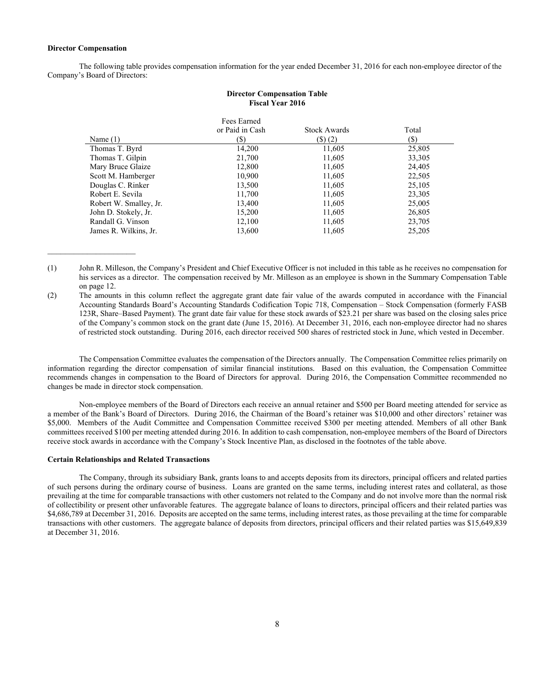#### **Director Compensation**

 $\mathcal{L}_\text{max}$  , where  $\mathcal{L}_\text{max}$  , we have the set of  $\mathcal{L}_\text{max}$ 

 The following table provides compensation information for the year ended December 31, 2016 for each non-employee director of the Company's Board of Directors:

**Director Compensation Table** 

|                        | <b>Fiscal Year 2016</b>               |                                      |              |
|------------------------|---------------------------------------|--------------------------------------|--------------|
| Name $(1)$             | Fees Earned<br>or Paid in Cash<br>(S) | <b>Stock Awards</b><br>$($ \$) $(2)$ | Total<br>(S) |
| Thomas T. Byrd         | 14,200                                | 11,605                               | 25,805       |
| Thomas T. Gilpin       | 21,700                                | 11,605                               | 33,305       |
| Mary Bruce Glaize      | 12.800                                | 11,605                               | 24,405       |
| Scott M. Hamberger     | 10,900                                | 11,605                               | 22,505       |
| Douglas C. Rinker      | 13,500                                | 11,605                               | 25,105       |
| Robert E. Sevila       | 11,700                                | 11,605                               | 23,305       |
| Robert W. Smalley, Jr. | 13,400                                | 11,605                               | 25,005       |
| John D. Stokely, Jr.   | 15,200                                | 11,605                               | 26,805       |
| Randall G. Vinson      | 12,100                                | 11,605                               | 23,705       |
| James R. Wilkins, Jr.  | 13,600                                | 11,605                               | 25,205       |

(1) John R. Milleson, the Company's President and Chief Executive Officer is not included in this table as he receives no compensation for his services as a director. The compensation received by Mr. Milleson as an employee is shown in the Summary Compensation Table on page 12.

(2) The amounts in this column reflect the aggregate grant date fair value of the awards computed in accordance with the Financial Accounting Standards Board's Accounting Standards Codification Topic 718, Compensation – Stock Compensation (formerly FASB 123R, Share–Based Payment). The grant date fair value for these stock awards of \$23.21 per share was based on the closing sales price of the Company's common stock on the grant date (June 15, 2016). At December 31, 2016, each non-employee director had no shares of restricted stock outstanding. During 2016, each director received 500 shares of restricted stock in June, which vested in December.

The Compensation Committee evaluates the compensation of the Directors annually. The Compensation Committee relies primarily on information regarding the director compensation of similar financial institutions. Based on this evaluation, the Compensation Committee recommends changes in compensation to the Board of Directors for approval. During 2016, the Compensation Committee recommended no changes be made in director stock compensation.

Non-employee members of the Board of Directors each receive an annual retainer and \$500 per Board meeting attended for service as a member of the Bank's Board of Directors. During 2016, the Chairman of the Board's retainer was \$10,000 and other directors' retainer was \$5,000. Members of the Audit Committee and Compensation Committee received \$300 per meeting attended. Members of all other Bank committees received \$100 per meeting attended during 2016. In addition to cash compensation, non-employee members of the Board of Directors receive stock awards in accordance with the Company's Stock Incentive Plan, as disclosed in the footnotes of the table above.

## **Certain Relationships and Related Transactions**

 The Company, through its subsidiary Bank, grants loans to and accepts deposits from its directors, principal officers and related parties of such persons during the ordinary course of business. Loans are granted on the same terms, including interest rates and collateral, as those prevailing at the time for comparable transactions with other customers not related to the Company and do not involve more than the normal risk of collectibility or present other unfavorable features. The aggregate balance of loans to directors, principal officers and their related parties was \$4,686,789 at December 31, 2016. Deposits are accepted on the same terms, including interest rates, as those prevailing at the time for comparable transactions with other customers. The aggregate balance of deposits from directors, principal officers and their related parties was \$15,649,839 at December 31, 2016.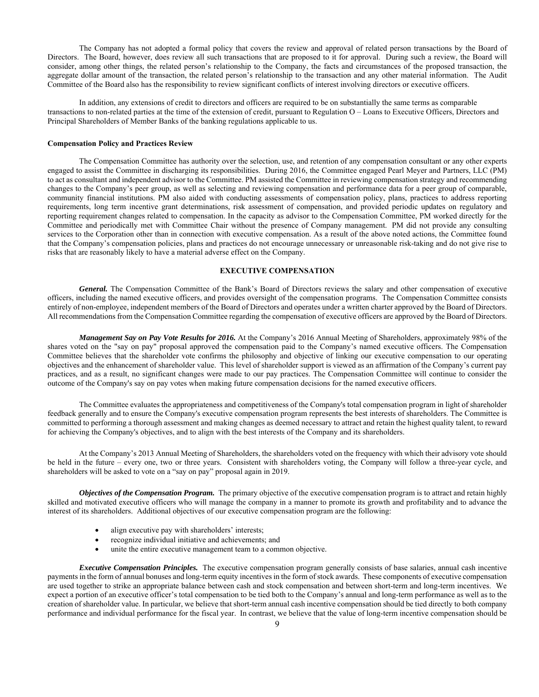The Company has not adopted a formal policy that covers the review and approval of related person transactions by the Board of Directors. The Board, however, does review all such transactions that are proposed to it for approval. During such a review, the Board will consider, among other things, the related person's relationship to the Company, the facts and circumstances of the proposed transaction, the aggregate dollar amount of the transaction, the related person's relationship to the transaction and any other material information. The Audit Committee of the Board also has the responsibility to review significant conflicts of interest involving directors or executive officers.

In addition, any extensions of credit to directors and officers are required to be on substantially the same terms as comparable transactions to non-related parties at the time of the extension of credit, pursuant to Regulation O – Loans to Executive Officers, Directors and Principal Shareholders of Member Banks of the banking regulations applicable to us.

#### **Compensation Policy and Practices Review**

The Compensation Committee has authority over the selection, use, and retention of any compensation consultant or any other experts engaged to assist the Committee in discharging its responsibilities. During 2016, the Committee engaged Pearl Meyer and Partners, LLC (PM) to act as consultant and independent advisor to the Committee. PM assisted the Committee in reviewing compensation strategy and recommending changes to the Company's peer group, as well as selecting and reviewing compensation and performance data for a peer group of comparable, community financial institutions. PM also aided with conducting assessments of compensation policy, plans, practices to address reporting requirements, long term incentive grant determinations, risk assessment of compensation, and provided periodic updates on regulatory and reporting requirement changes related to compensation. In the capacity as advisor to the Compensation Committee, PM worked directly for the Committee and periodically met with Committee Chair without the presence of Company management. PM did not provide any consulting services to the Corporation other than in connection with executive compensation. As a result of the above noted actions, the Committee found that the Company's compensation policies, plans and practices do not encourage unnecessary or unreasonable risk-taking and do not give rise to risks that are reasonably likely to have a material adverse effect on the Company.

# **EXECUTIVE COMPENSATION**

*General.* The Compensation Committee of the Bank's Board of Directors reviews the salary and other compensation of executive officers, including the named executive officers, and provides oversight of the compensation programs. The Compensation Committee consists entirely of non-employee, independent members of the Board of Directors and operates under a written charter approved by the Board of Directors. All recommendations from the Compensation Committee regarding the compensation of executive officers are approved by the Board of Directors.

 *Management Say on Pay Vote Results for 2016.* At the Company's 2016 Annual Meeting of Shareholders, approximately 98% of the shares voted on the "say on pay" proposal approved the compensation paid to the Company's named executive officers. The Compensation Committee believes that the shareholder vote confirms the philosophy and objective of linking our executive compensation to our operating objectives and the enhancement of shareholder value. This level of shareholder support is viewed as an affirmation of the Company's current pay practices, and as a result, no significant changes were made to our pay practices. The Compensation Committee will continue to consider the outcome of the Company's say on pay votes when making future compensation decisions for the named executive officers.

The Committee evaluates the appropriateness and competitiveness of the Company's total compensation program in light of shareholder feedback generally and to ensure the Company's executive compensation program represents the best interests of shareholders. The Committee is committed to performing a thorough assessment and making changes as deemed necessary to attract and retain the highest quality talent, to reward for achieving the Company's objectives, and to align with the best interests of the Company and its shareholders.

 At the Company's 2013 Annual Meeting of Shareholders, the shareholders voted on the frequency with which their advisory vote should be held in the future – every one, two or three years. Consistent with shareholders voting, the Company will follow a three-year cycle, and shareholders will be asked to vote on a "say on pay" proposal again in 2019.

*Objectives of the Compensation Program.* The primary objective of the executive compensation program is to attract and retain highly skilled and motivated executive officers who will manage the company in a manner to promote its growth and profitability and to advance the interest of its shareholders. Additional objectives of our executive compensation program are the following:

- align executive pay with shareholders' interests;
- recognize individual initiative and achievements; and
- unite the entire executive management team to a common objective.

*Executive Compensation Principles.* The executive compensation program generally consists of base salaries, annual cash incentive payments in the form of annual bonuses and long-term equity incentives in the form of stock awards. These components of executive compensation are used together to strike an appropriate balance between cash and stock compensation and between short-term and long-term incentives. We expect a portion of an executive officer's total compensation to be tied both to the Company's annual and long-term performance as well as to the creation of shareholder value. In particular, we believe that short-term annual cash incentive compensation should be tied directly to both company performance and individual performance for the fiscal year. In contrast, we believe that the value of long-term incentive compensation should be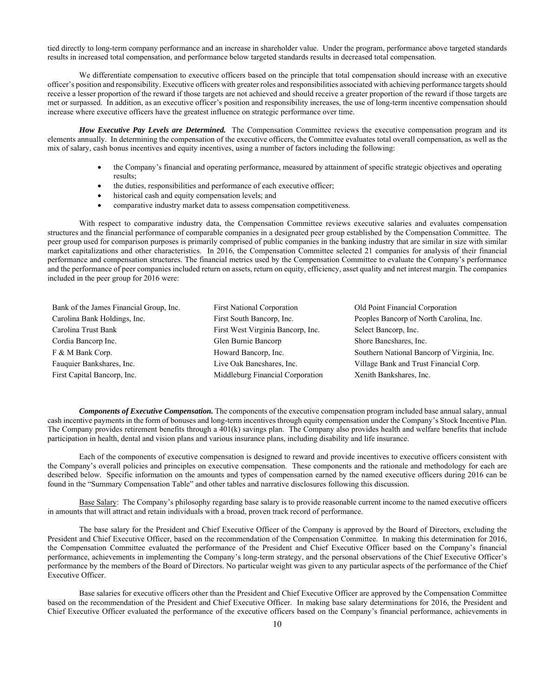tied directly to long-term company performance and an increase in shareholder value. Under the program, performance above targeted standards results in increased total compensation, and performance below targeted standards results in decreased total compensation.

We differentiate compensation to executive officers based on the principle that total compensation should increase with an executive officer's position and responsibility. Executive officers with greater roles and responsibilities associated with achieving performance targets should receive a lesser proportion of the reward if those targets are not achieved and should receive a greater proportion of the reward if those targets are met or surpassed. In addition, as an executive officer's position and responsibility increases, the use of long-term incentive compensation should increase where executive officers have the greatest influence on strategic performance over time.

*How Executive Pay Levels are Determined.* The Compensation Committee reviews the executive compensation program and its elements annually. In determining the compensation of the executive officers, the Committee evaluates total overall compensation, as well as the mix of salary, cash bonus incentives and equity incentives, using a number of factors including the following:

- the Company's financial and operating performance, measured by attainment of specific strategic objectives and operating results;
- the duties, responsibilities and performance of each executive officer;
- historical cash and equity compensation levels; and
- comparative industry market data to assess compensation competitiveness.

With respect to comparative industry data, the Compensation Committee reviews executive salaries and evaluates compensation structures and the financial performance of comparable companies in a designated peer group established by the Compensation Committee. The peer group used for comparison purposes is primarily comprised of public companies in the banking industry that are similar in size with similar market capitalizations and other characteristics. In 2016, the Compensation Committee selected 21 companies for analysis of their financial performance and compensation structures. The financial metrics used by the Compensation Committee to evaluate the Company's performance and the performance of peer companies included return on assets, return on equity, efficiency, asset quality and net interest margin. The companies included in the peer group for 2016 were:

| Bank of the James Financial Group, Inc. | <b>First National Corporation</b> | Old Point Financial Corporation             |
|-----------------------------------------|-----------------------------------|---------------------------------------------|
| Carolina Bank Holdings, Inc.            | First South Bancorp, Inc.         | Peoples Bancorp of North Carolina, Inc.     |
| Carolina Trust Bank                     | First West Virginia Bancorp, Inc. | Select Bancorp, Inc.                        |
| Cordia Bancorp Inc.                     | Glen Burnie Bancorp               | Shore Bancshares, Inc.                      |
| F & M Bank Corp.                        | Howard Bancorp, Inc.              | Southern National Bancorp of Virginia, Inc. |
| Fauquier Bankshares, Inc.               | Live Oak Bancshares, Inc.         | Village Bank and Trust Financial Corp.      |
| First Capital Bancorp, Inc.             | Middleburg Financial Corporation  | Xenith Bankshares, Inc.                     |

*Components of Executive Compensation.* The components of the executive compensation program included base annual salary, annual cash incentive payments in the form of bonuses and long-term incentives through equity compensation under the Company's Stock Incentive Plan. The Company provides retirement benefits through a 401(k) savings plan. The Company also provides health and welfare benefits that include participation in health, dental and vision plans and various insurance plans, including disability and life insurance.

Each of the components of executive compensation is designed to reward and provide incentives to executive officers consistent with the Company's overall policies and principles on executive compensation. These components and the rationale and methodology for each are described below. Specific information on the amounts and types of compensation earned by the named executive officers during 2016 can be found in the "Summary Compensation Table" and other tables and narrative disclosures following this discussion.

Base Salary: The Company's philosophy regarding base salary is to provide reasonable current income to the named executive officers in amounts that will attract and retain individuals with a broad, proven track record of performance.

The base salary for the President and Chief Executive Officer of the Company is approved by the Board of Directors, excluding the President and Chief Executive Officer, based on the recommendation of the Compensation Committee. In making this determination for 2016, the Compensation Committee evaluated the performance of the President and Chief Executive Officer based on the Company's financial performance, achievements in implementing the Company's long-term strategy, and the personal observations of the Chief Executive Officer's performance by the members of the Board of Directors. No particular weight was given to any particular aspects of the performance of the Chief Executive Officer.

Base salaries for executive officers other than the President and Chief Executive Officer are approved by the Compensation Committee based on the recommendation of the President and Chief Executive Officer. In making base salary determinations for 2016, the President and Chief Executive Officer evaluated the performance of the executive officers based on the Company's financial performance, achievements in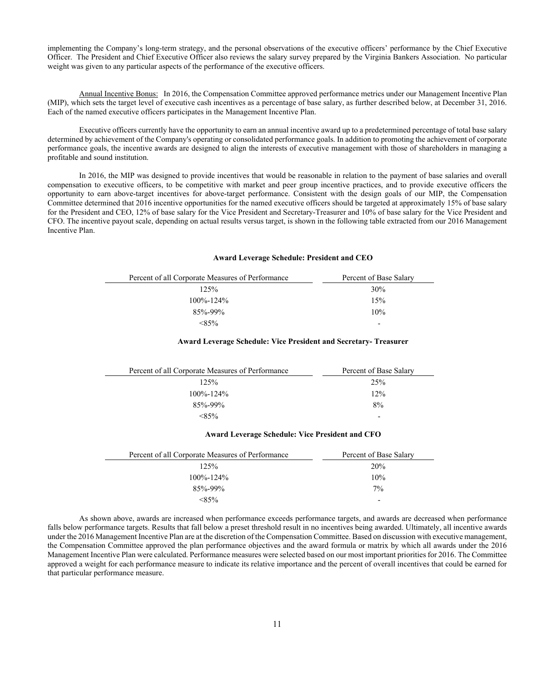implementing the Company's long-term strategy, and the personal observations of the executive officers' performance by the Chief Executive Officer. The President and Chief Executive Officer also reviews the salary survey prepared by the Virginia Bankers Association. No particular weight was given to any particular aspects of the performance of the executive officers.

Annual Incentive Bonus: In 2016, the Compensation Committee approved performance metrics under our Management Incentive Plan (MIP), which sets the target level of executive cash incentives as a percentage of base salary, as further described below, at December 31, 2016. Each of the named executive officers participates in the Management Incentive Plan.

Executive officers currently have the opportunity to earn an annual incentive award up to a predetermined percentage of total base salary determined by achievement of the Company's operating or consolidated performance goals. In addition to promoting the achievement of corporate performance goals, the incentive awards are designed to align the interests of executive management with those of shareholders in managing a profitable and sound institution.

In 2016, the MIP was designed to provide incentives that would be reasonable in relation to the payment of base salaries and overall compensation to executive officers, to be competitive with market and peer group incentive practices, and to provide executive officers the opportunity to earn above-target incentives for above-target performance. Consistent with the design goals of our MIP, the Compensation Committee determined that 2016 incentive opportunities for the named executive officers should be targeted at approximately 15% of base salary for the President and CEO, 12% of base salary for the Vice President and Secretary-Treasurer and 10% of base salary for the Vice President and CFO. The incentive payout scale, depending on actual results versus target, is shown in the following table extracted from our 2016 Management Incentive Plan.

## **Award Leverage Schedule: President and CEO**

| Percent of all Corporate Measures of Performance | Percent of Base Salary   |
|--------------------------------------------------|--------------------------|
| $12.5\%$                                         | 30%                      |
| $100\% - 124\%$                                  | 15%                      |
| $85% - 99%$                                      | 10%                      |
| $< 85\%$                                         | $\overline{\phantom{0}}$ |

## **Award Leverage Schedule: Vice President and Secretary- Treasurer**

| Percent of all Corporate Measures of Performance | Percent of Base Salary   |
|--------------------------------------------------|--------------------------|
| 125%                                             | 25%                      |
| $100\% - 124\%$                                  | 12%                      |
| $85% - 99%$                                      | 8%                       |
| $<$ 85%                                          | $\overline{\phantom{0}}$ |

# **Award Leverage Schedule: Vice President and CFO**

| Percent of all Corporate Measures of Performance | Percent of Base Salary   |
|--------------------------------------------------|--------------------------|
| $12.5\%$                                         | 20%                      |
| $100\% - 124\%$                                  | 10%                      |
| $85% - 99%$                                      | $7\%$                    |
| $< 85\%$                                         | $\overline{\phantom{0}}$ |

As shown above, awards are increased when performance exceeds performance targets, and awards are decreased when performance falls below performance targets. Results that fall below a preset threshold result in no incentives being awarded. Ultimately, all incentive awards under the 2016 Management Incentive Plan are at the discretion of the Compensation Committee. Based on discussion with executive management, the Compensation Committee approved the plan performance objectives and the award formula or matrix by which all awards under the 2016 Management Incentive Plan were calculated. Performance measures were selected based on our most important priorities for 2016. The Committee approved a weight for each performance measure to indicate its relative importance and the percent of overall incentives that could be earned for that particular performance measure.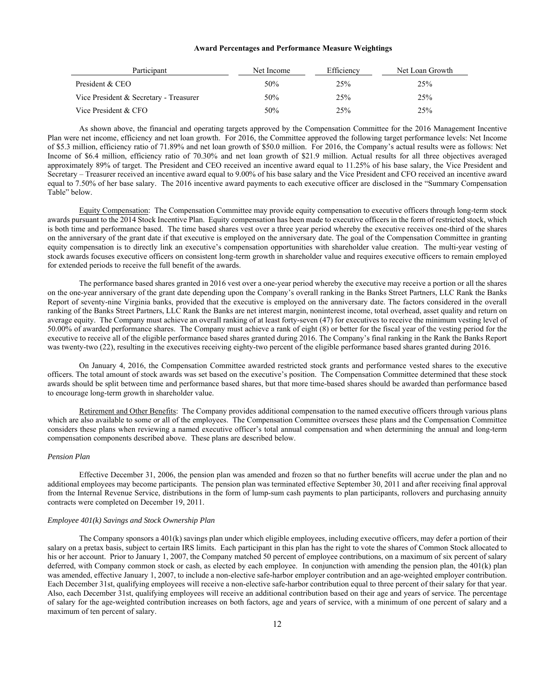#### **Award Percentages and Performance Measure Weightings**

| Participant                            | Net Income | Efficiency | Net Loan Growth |
|----------------------------------------|------------|------------|-----------------|
| President & CEO                        | 50%        | 25%        | 25%             |
| Vice President & Secretary - Treasurer | 50%        | 25%        | 25%             |
| Vice President & CFO                   | 50%        | 25%        | 25%             |

As shown above, the financial and operating targets approved by the Compensation Committee for the 2016 Management Incentive Plan were net income, efficiency and net loan growth. For 2016, the Committee approved the following target performance levels: Net Income of \$5.3 million, efficiency ratio of 71.89% and net loan growth of \$50.0 million. For 2016, the Company's actual results were as follows: Net Income of \$6.4 million, efficiency ratio of 70.30% and net loan growth of \$21.9 million. Actual results for all three objectives averaged approximately 89% of target. The President and CEO received an incentive award equal to 11.25% of his base salary, the Vice President and Secretary – Treasurer received an incentive award equal to 9.00% of his base salary and the Vice President and CFO received an incentive award equal to 7.50% of her base salary. The 2016 incentive award payments to each executive officer are disclosed in the "Summary Compensation Table" below.

Equity Compensation: The Compensation Committee may provide equity compensation to executive officers through long-term stock awards pursuant to the 2014 Stock Incentive Plan. Equity compensation has been made to executive officers in the form of restricted stock, which is both time and performance based. The time based shares vest over a three year period whereby the executive receives one-third of the shares on the anniversary of the grant date if that executive is employed on the anniversary date. The goal of the Compensation Committee in granting equity compensation is to directly link an executive's compensation opportunities with shareholder value creation. The multi-year vesting of stock awards focuses executive officers on consistent long-term growth in shareholder value and requires executive officers to remain employed for extended periods to receive the full benefit of the awards.

The performance based shares granted in 2016 vest over a one-year period whereby the executive may receive a portion or all the shares on the one-year anniversary of the grant date depending upon the Company's overall ranking in the Banks Street Partners, LLC Rank the Banks Report of seventy-nine Virginia banks, provided that the executive is employed on the anniversary date. The factors considered in the overall ranking of the Banks Street Partners, LLC Rank the Banks are net interest margin, noninterest income, total overhead, asset quality and return on average equity. The Company must achieve an overall ranking of at least forty-seven (47) for executives to receive the minimum vesting level of 50.00% of awarded performance shares. The Company must achieve a rank of eight (8) or better for the fiscal year of the vesting period for the executive to receive all of the eligible performance based shares granted during 2016. The Company's final ranking in the Rank the Banks Report was twenty-two (22), resulting in the executives receiving eighty-two percent of the eligible performance based shares granted during 2016.

On January 4, 2016, the Compensation Committee awarded restricted stock grants and performance vested shares to the executive officers. The total amount of stock awards was set based on the executive's position. The Compensation Committee determined that these stock awards should be split between time and performance based shares, but that more time-based shares should be awarded than performance based to encourage long-term growth in shareholder value.

Retirement and Other Benefits: The Company provides additional compensation to the named executive officers through various plans which are also available to some or all of the employees. The Compensation Committee oversees these plans and the Compensation Committee considers these plans when reviewing a named executive officer's total annual compensation and when determining the annual and long-term compensation components described above. These plans are described below.

#### *Pension Plan*

Effective December 31, 2006, the pension plan was amended and frozen so that no further benefits will accrue under the plan and no additional employees may become participants. The pension plan was terminated effective September 30, 2011 and after receiving final approval from the Internal Revenue Service, distributions in the form of lump-sum cash payments to plan participants, rollovers and purchasing annuity contracts were completed on December 19, 2011.

#### *Employee 401(k) Savings and Stock Ownership Plan*

The Company sponsors a 401(k) savings plan under which eligible employees, including executive officers, may defer a portion of their salary on a pretax basis, subject to certain IRS limits. Each participant in this plan has the right to vote the shares of Common Stock allocated to his or her account. Prior to January 1, 2007, the Company matched 50 percent of employee contributions, on a maximum of six percent of salary deferred, with Company common stock or cash, as elected by each employee. In conjunction with amending the pension plan, the 401(k) plan was amended, effective January 1, 2007, to include a non-elective safe-harbor employer contribution and an age-weighted employer contribution. Each December 31st, qualifying employees will receive a non-elective safe-harbor contribution equal to three percent of their salary for that year. Also, each December 31st, qualifying employees will receive an additional contribution based on their age and years of service. The percentage of salary for the age-weighted contribution increases on both factors, age and years of service, with a minimum of one percent of salary and a maximum of ten percent of salary.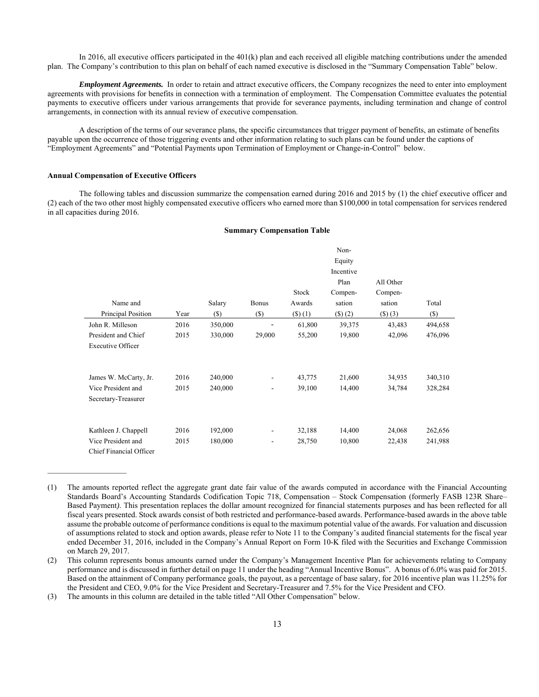In 2016, all executive officers participated in the 401(k) plan and each received all eligible matching contributions under the amended plan. The Company's contribution to this plan on behalf of each named executive is disclosed in the "Summary Compensation Table" below.

*Employment Agreements.* In order to retain and attract executive officers, the Company recognizes the need to enter into employment agreements with provisions for benefits in connection with a termination of employment. The Compensation Committee evaluates the potential payments to executive officers under various arrangements that provide for severance payments, including termination and change of control arrangements, in connection with its annual review of executive compensation.

A description of the terms of our severance plans, the specific circumstances that trigger payment of benefits, an estimate of benefits payable upon the occurrence of those triggering events and other information relating to such plans can be found under the captions of "Employment Agreements" and "Potential Payments upon Termination of Employment or Change-in-Control" below.

#### **Annual Compensation of Executive Officers**

 The following tables and discussion summarize the compensation earned during 2016 and 2015 by (1) the chief executive officer and (2) each of the two other most highly compensated executive officers who earned more than \$100,000 in total compensation for services rendered in all capacities during 2016.

#### **Summary Compensation Table**

|                          |      |         |                          |               | Non-          |               |         |
|--------------------------|------|---------|--------------------------|---------------|---------------|---------------|---------|
|                          |      |         |                          |               | Equity        |               |         |
|                          |      |         |                          |               | Incentive     |               |         |
|                          |      |         |                          |               | Plan          | All Other     |         |
|                          |      |         |                          | Stock         | Compen-       | Compen-       |         |
| Name and                 |      | Salary  | <b>Bonus</b>             | Awards        | sation        | sation        | Total   |
| Principal Position       | Year | $(\$)$  | $(\$)$                   | $($ \$) $(1)$ | $($ \$) $(2)$ | $($ \$) $(3)$ | $(\$)$  |
| John R. Milleson         | 2016 | 350,000 |                          | 61,800        | 39,375        | 43,483        | 494,658 |
| President and Chief      | 2015 | 330,000 | 29,000                   | 55,200        | 19,800        | 42,096        | 476,096 |
| <b>Executive Officer</b> |      |         |                          |               |               |               |         |
|                          |      |         |                          |               |               |               |         |
|                          |      |         |                          |               |               |               |         |
| James W. McCarty, Jr.    | 2016 | 240,000 | $\overline{\phantom{a}}$ | 43,775        | 21,600        | 34,935        | 340,310 |
| Vice President and       | 2015 | 240,000 | ۰                        | 39,100        | 14,400        | 34,784        | 328,284 |
| Secretary-Treasurer      |      |         |                          |               |               |               |         |
|                          |      |         |                          |               |               |               |         |
|                          |      |         |                          |               |               |               |         |
| Kathleen J. Chappell     | 2016 | 192,000 | -                        | 32,188        | 14,400        | 24,068        | 262,656 |
| Vice President and       | 2015 | 180,000 | $\overline{\phantom{a}}$ | 28,750        | 10,800        | 22,438        | 241,988 |
| Chief Financial Officer  |      |         |                          |               |               |               |         |

<sup>(1)</sup> The amounts reported reflect the aggregate grant date fair value of the awards computed in accordance with the Financial Accounting Standards Board's Accounting Standards Codification Topic 718, Compensation – Stock Compensation (formerly FASB 123R Share– Based Payment*)*. This presentation replaces the dollar amount recognized for financial statements purposes and has been reflected for all fiscal years presented. Stock awards consist of both restricted and performance-based awards. Performance-based awards in the above table assume the probable outcome of performance conditions is equal to the maximum potential value of the awards. For valuation and discussion of assumptions related to stock and option awards, please refer to Note 11 to the Company's audited financial statements for the fiscal year ended December 31, 2016, included in the Company's Annual Report on Form 10-K filed with the Securities and Exchange Commission on March 29, 2017.

The amounts in this column are detailed in the table titled "All Other Compensation" below.

<sup>(2)</sup> This column represents bonus amounts earned under the Company's Management Incentive Plan for achievements relating to Company performance and is discussed in further detail on page 11 under the heading "Annual Incentive Bonus". A bonus of 6.0% was paid for 2015. Based on the attainment of Company performance goals, the payout, as a percentage of base salary, for 2016 incentive plan was 11.25% for the President and CEO, 9.0% for the Vice President and Secretary-Treasurer and 7.5% for the Vice President and CFO.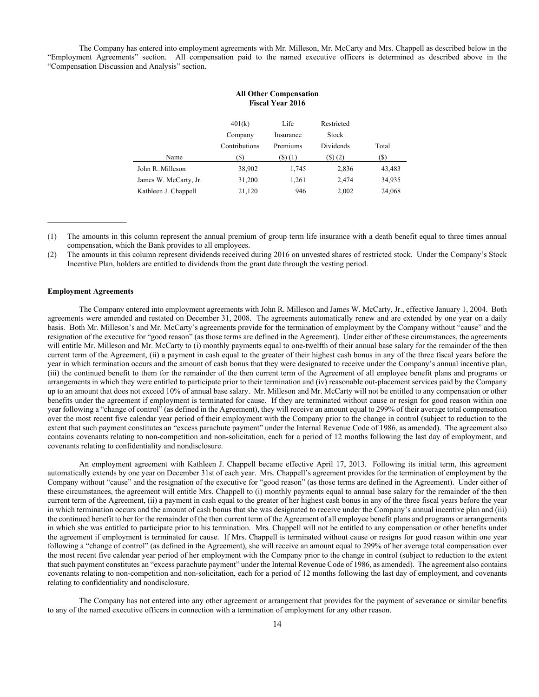The Company has entered into employment agreements with Mr. Milleson, Mr. McCarty and Mrs. Chappell as described below in the "Employment Agreements" section. All compensation paid to the named executive officers is determined as described above in the "Compensation Discussion and Analysis" section.

|                       | 401(k)<br>Company | Life<br>Insurance | Restricted<br><b>Stock</b> |        |
|-----------------------|-------------------|-------------------|----------------------------|--------|
|                       | Contributions     | Premiums          | Dividends                  | Total  |
| Name                  | S)                | $($ \$) $(1)$     | $($ \$) $(2)$              | (S)    |
| John R. Milleson      | 38,902            | 1,745             | 2,836                      | 43,483 |
| James W. McCarty, Jr. | 31,200            | 1,261             | 2,474                      | 34,935 |
| Kathleen J. Chappell  | 21,120            | 946               | 2,002                      | 24,068 |

(1) The amounts in this column represent the annual premium of group term life insurance with a death benefit equal to three times annual compensation, which the Bank provides to all employees.

(2) The amounts in this column represent dividends received during 2016 on unvested shares of restricted stock. Under the Company's Stock Incentive Plan, holders are entitled to dividends from the grant date through the vesting period.

# **Employment Agreements**

The Company entered into employment agreements with John R. Milleson and James W. McCarty, Jr., effective January 1, 2004. Both agreements were amended and restated on December 31, 2008. The agreements automatically renew and are extended by one year on a daily basis. Both Mr. Milleson's and Mr. McCarty's agreements provide for the termination of employment by the Company without "cause" and the resignation of the executive for "good reason" (as those terms are defined in the Agreement). Under either of these circumstances, the agreements will entitle Mr. Milleson and Mr. McCarty to (i) monthly payments equal to one-twelfth of their annual base salary for the remainder of the then current term of the Agreement, (ii) a payment in cash equal to the greater of their highest cash bonus in any of the three fiscal years before the year in which termination occurs and the amount of cash bonus that they were designated to receive under the Company's annual incentive plan, (iii) the continued benefit to them for the remainder of the then current term of the Agreement of all employee benefit plans and programs or arrangements in which they were entitled to participate prior to their termination and (iv) reasonable out-placement services paid by the Company up to an amount that does not exceed 10% of annual base salary. Mr. Milleson and Mr. McCarty will not be entitled to any compensation or other benefits under the agreement if employment is terminated for cause. If they are terminated without cause or resign for good reason within one year following a "change of control" (as defined in the Agreement), they will receive an amount equal to 299% of their average total compensation over the most recent five calendar year period of their employment with the Company prior to the change in control (subject to reduction to the extent that such payment constitutes an "excess parachute payment" under the Internal Revenue Code of 1986, as amended). The agreement also contains covenants relating to non-competition and non-solicitation, each for a period of 12 months following the last day of employment, and covenants relating to confidentiality and nondisclosure.

An employment agreement with Kathleen J. Chappell became effective April 17, 2013. Following its initial term, this agreement automatically extends by one year on December 31st of each year. Mrs. Chappell's agreement provides for the termination of employment by the Company without "cause" and the resignation of the executive for "good reason" (as those terms are defined in the Agreement). Under either of these circumstances, the agreement will entitle Mrs. Chappell to (i) monthly payments equal to annual base salary for the remainder of the then current term of the Agreement, (ii) a payment in cash equal to the greater of her highest cash bonus in any of the three fiscal years before the year in which termination occurs and the amount of cash bonus that she was designated to receive under the Company's annual incentive plan and (iii) the continued benefit to her for the remainder of the then current term of the Agreement of all employee benefit plans and programs or arrangements in which she was entitled to participate prior to his termination. Mrs. Chappell will not be entitled to any compensation or other benefits under the agreement if employment is terminated for cause. If Mrs. Chappell is terminated without cause or resigns for good reason within one year following a "change of control" (as defined in the Agreement), she will receive an amount equal to 299% of her average total compensation over the most recent five calendar year period of her employment with the Company prior to the change in control (subject to reduction to the extent that such payment constitutes an "excess parachute payment" under the Internal Revenue Code of 1986, as amended). The agreement also contains covenants relating to non-competition and non-solicitation, each for a period of 12 months following the last day of employment, and covenants relating to confidentiality and nondisclosure.

The Company has not entered into any other agreement or arrangement that provides for the payment of severance or similar benefits to any of the named executive officers in connection with a termination of employment for any other reason.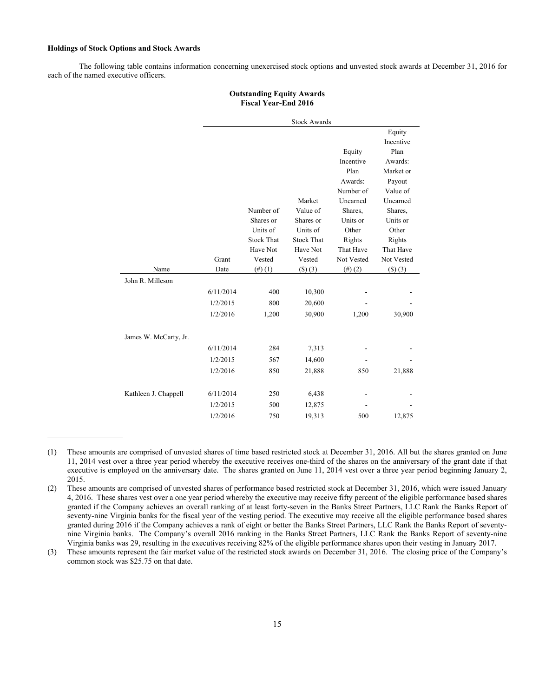## **Holdings of Stock Options and Stock Awards**

 $\_$ 

The following table contains information concerning unexercised stock options and unvested stock awards at December 31, 2016 for each of the named executive officers.

# **Outstanding Equity Awards Fiscal Year-End 2016**

|                       |           |                   | <b>Stock Awards</b> |            |            |
|-----------------------|-----------|-------------------|---------------------|------------|------------|
|                       |           |                   |                     |            | Equity     |
|                       |           |                   |                     |            | Incentive  |
|                       |           |                   |                     | Equity     | Plan       |
|                       |           |                   |                     | Incentive  | Awards:    |
|                       |           |                   |                     | Plan       | Market or  |
|                       |           |                   |                     | Awards:    | Payout     |
|                       |           |                   |                     | Number of  | Value of   |
|                       |           |                   | Market              | Unearned   | Unearned   |
|                       |           | Number of         | Value of            | Shares,    | Shares,    |
|                       |           | Shares or         | Shares or           | Units or   | Units or   |
|                       |           | Units of          | Units of            | Other      | Other      |
|                       |           | <b>Stock That</b> | <b>Stock That</b>   | Rights     | Rights     |
|                       |           | Have Not          | Have Not            | That Have  | That Have  |
|                       | Grant     | Vested            | Vested              | Not Vested | Not Vested |
| Name                  | Date      | $(4)$ $(1)$       | $($ \$) $(3)$       | (4)(2)     | () (3)     |
| John R. Milleson      |           |                   |                     |            |            |
|                       | 6/11/2014 | 400               | 10,300              |            |            |
|                       | 1/2/2015  | 800               | 20,600              |            |            |
|                       | 1/2/2016  | 1,200             | 30,900              | 1,200      | 30,900     |
| James W. McCarty, Jr. |           |                   |                     |            |            |
|                       | 6/11/2014 | 284               | 7,313               |            |            |
|                       | 1/2/2015  | 567               | 14,600              |            |            |
|                       | 1/2/2016  | 850               | 21,888              | 850        | 21,888     |
| Kathleen J. Chappell  | 6/11/2014 | 250               | 6,438               |            |            |
|                       | 1/2/2015  | 500               | 12,875              |            |            |
|                       | 1/2/2016  | 750               | 19,313              | 500        | 12,875     |

<sup>(1)</sup> These amounts are comprised of unvested shares of time based restricted stock at December 31, 2016. All but the shares granted on June 11, 2014 vest over a three year period whereby the executive receives one-third of the shares on the anniversary of the grant date if that executive is employed on the anniversary date. The shares granted on June 11, 2014 vest over a three year period beginning January 2, 2015.

(3) These amounts represent the fair market value of the restricted stock awards on December 31, 2016. The closing price of the Company's common stock was \$25.75 on that date.

<sup>(2)</sup> These amounts are comprised of unvested shares of performance based restricted stock at December 31, 2016, which were issued January 4, 2016. These shares vest over a one year period whereby the executive may receive fifty percent of the eligible performance based shares granted if the Company achieves an overall ranking of at least forty-seven in the Banks Street Partners, LLC Rank the Banks Report of seventy-nine Virginia banks for the fiscal year of the vesting period. The executive may receive all the eligible performance based shares granted during 2016 if the Company achieves a rank of eight or better the Banks Street Partners, LLC Rank the Banks Report of seventynine Virginia banks. The Company's overall 2016 ranking in the Banks Street Partners, LLC Rank the Banks Report of seventy-nine Virginia banks was 29, resulting in the executives receiving 82% of the eligible performance shares upon their vesting in January 2017.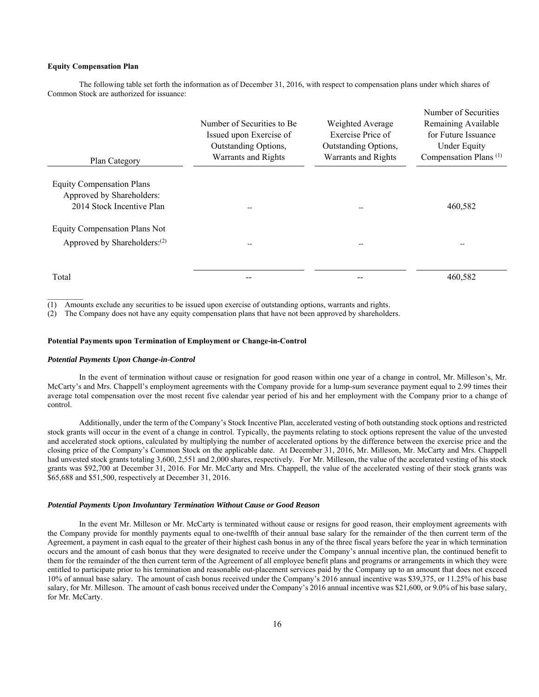#### **Equity Compensation Plan**

The following table set forth the information as of December 31, 2016, with respect to compensation plans under which shares of Common Stock are authorized for issuance:

| Plan Category                                                                              | Number of Securities to Be.<br>Issued upon Exercise of<br>Outstanding Options,<br>Warrants and Rights | Weighted Average<br>Exercise Price of<br>Outstanding Options,<br>Warrants and Rights | Number of Securities<br>Remaining Available<br>for Future Issuance<br><b>Under Equity</b><br>Compensation Plans <sup>(1)</sup> |
|--------------------------------------------------------------------------------------------|-------------------------------------------------------------------------------------------------------|--------------------------------------------------------------------------------------|--------------------------------------------------------------------------------------------------------------------------------|
| <b>Equity Compensation Plans</b><br>Approved by Shareholders:<br>2014 Stock Incentive Plan |                                                                                                       | --                                                                                   | 460,582                                                                                                                        |
| <b>Equity Compensation Plans Not</b><br>Approved by Shareholders: <sup>(2)</sup>           |                                                                                                       |                                                                                      |                                                                                                                                |
| Total                                                                                      |                                                                                                       |                                                                                      | 460,582                                                                                                                        |

Amounts exclude any securities to be issued upon exercise of outstanding options, warrants and rights.

(2) The Company does not have any equity compensation plans that have not been approved by shareholders.

#### **Potential Payments upon Termination of Employment or Change-in-Control**

#### *Potential Payments Upon Change-in-Control*

In the event of termination without cause or resignation for good reason within one year of a change in control, Mr. Milleson's, Mr. McCarty's and Mrs. Chappell's employment agreements with the Company provide for a lump-sum severance payment equal to 2.99 times their average total compensation over the most recent five calendar year period of his and her employment with the Company prior to a change of control.

Additionally, under the term of the Company's Stock Incentive Plan, accelerated vesting of both outstanding stock options and restricted stock grants will occur in the event of a change in control. Typically, the payments relating to stock options represent the value of the unvested and accelerated stock options, calculated by multiplying the number of accelerated options by the difference between the exercise price and the closing price of the Company's Common Stock on the applicable date. At December 31, 2016, Mr. Milleson, Mr. McCarty and Mrs. Chappell had unvested stock grants totaling 3,600, 2,551 and 2,000 shares, respectively. For Mr. Milleson, the value of the accelerated vesting of his stock grants was \$92,700 at December 31, 2016. For Mr. McCarty and Mrs. Chappell, the value of the accelerated vesting of their stock grants was \$65,688 and \$51,500, respectively at December 31, 2016.

#### *Potential Payments Upon Involuntary Termination Without Cause or Good Reason*

 In the event Mr. Milleson or Mr. McCarty is terminated without cause or resigns for good reason, their employment agreements with the Company provide for monthly payments equal to one-twelfth of their annual base salary for the remainder of the then current term of the Agreement, a payment in cash equal to the greater of their highest cash bonus in any of the three fiscal years before the year in which termination occurs and the amount of cash bonus that they were designated to receive under the Company's annual incentive plan, the continued benefit to them for the remainder of the then current term of the Agreement of all employee benefit plans and programs or arrangements in which they were entitled to participate prior to his termination and reasonable out-placement services paid by the Company up to an amount that does not exceed 10% of annual base salary. The amount of cash bonus received under the Company's 2016 annual incentive was \$39,375, or 11.25% of his base salary, for Mr. Milleson. The amount of cash bonus received under the Company's 2016 annual incentive was \$21,600, or 9.0% of his base salary, for Mr. McCarty.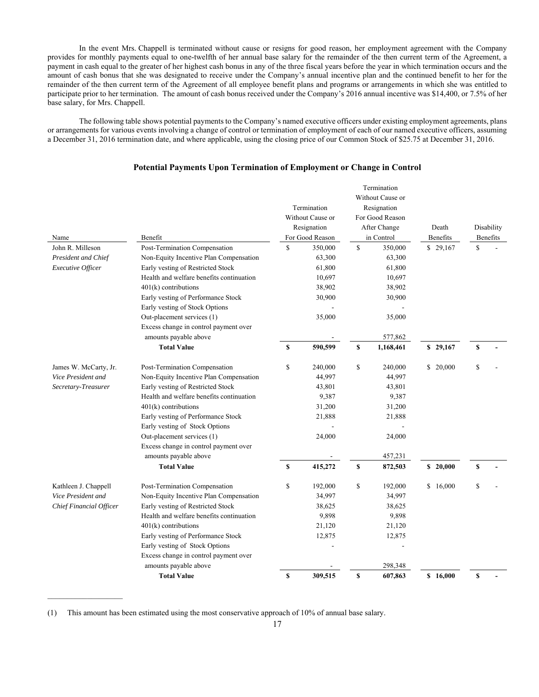In the event Mrs. Chappell is terminated without cause or resigns for good reason, her employment agreement with the Company provides for monthly payments equal to one-twelfth of her annual base salary for the remainder of the then current term of the Agreement, a payment in cash equal to the greater of her highest cash bonus in any of the three fiscal years before the year in which termination occurs and the amount of cash bonus that she was designated to receive under the Company's annual incentive plan and the continued benefit to her for the remainder of the then current term of the Agreement of all employee benefit plans and programs or arrangements in which she was entitled to participate prior to her termination. The amount of cash bonus received under the Company's 2016 annual incentive was \$14,400, or 7.5% of her base salary, for Mrs. Chappell.

The following table shows potential payments to the Company's named executive officers under existing employment agreements, plans or arrangements for various events involving a change of control or termination of employment of each of our named executive officers, assuming a December 31, 2016 termination date, and where applicable, using the closing price of our Common Stock of \$25.75 at December 31, 2016.

| Name                                                   | Benefit                                                                     | Termination<br>Without Cause or<br>Resignation<br>For Good Reason |                  | Termination<br>Without Cause or<br>Resignation<br>For Good Reason<br>After Change<br>in Control |                  | Death<br><b>Benefits</b> |          | Disability<br>Benefits |  |
|--------------------------------------------------------|-----------------------------------------------------------------------------|-------------------------------------------------------------------|------------------|-------------------------------------------------------------------------------------------------|------------------|--------------------------|----------|------------------------|--|
| John R. Milleson                                       | Post-Termination Compensation                                               | \$                                                                | 350,000          | \$                                                                                              | 350,000          |                          | \$29,167 | \$                     |  |
| <b>President and Chief</b><br><b>Executive Officer</b> | Non-Equity Incentive Plan Compensation<br>Early vesting of Restricted Stock |                                                                   | 63,300<br>61,800 |                                                                                                 | 63,300<br>61,800 |                          |          |                        |  |
|                                                        | Health and welfare benefits continuation                                    |                                                                   | 10,697           |                                                                                                 | 10,697           |                          |          |                        |  |
|                                                        | $401(k)$ contributions                                                      |                                                                   | 38,902           |                                                                                                 | 38,902           |                          |          |                        |  |
|                                                        | Early vesting of Performance Stock                                          |                                                                   | 30,900           |                                                                                                 | 30,900           |                          |          |                        |  |
|                                                        | Early vesting of Stock Options                                              |                                                                   |                  |                                                                                                 |                  |                          |          |                        |  |
|                                                        | Out-placement services (1)                                                  |                                                                   | 35,000           |                                                                                                 | 35,000           |                          |          |                        |  |
|                                                        | Excess change in control payment over                                       |                                                                   |                  |                                                                                                 |                  |                          |          |                        |  |
|                                                        | amounts payable above                                                       |                                                                   |                  |                                                                                                 | 577,862          |                          |          |                        |  |
|                                                        | <b>Total Value</b>                                                          | \$                                                                | 590,599          | \$                                                                                              | 1,168,461        |                          | \$29,167 | \$                     |  |
| James W. McCarty, Jr.                                  | Post-Termination Compensation                                               | \$                                                                | 240,000          | \$                                                                                              | 240,000          |                          | \$20,000 | \$                     |  |
| Vice President and                                     | Non-Equity Incentive Plan Compensation                                      |                                                                   | 44,997           |                                                                                                 | 44,997           |                          |          |                        |  |
| Secretary-Treasurer                                    | Early vesting of Restricted Stock                                           |                                                                   | 43,801           |                                                                                                 | 43,801           |                          |          |                        |  |
|                                                        | Health and welfare benefits continuation                                    |                                                                   | 9,387            |                                                                                                 | 9,387            |                          |          |                        |  |
|                                                        | $401(k)$ contributions                                                      |                                                                   | 31,200           |                                                                                                 | 31,200           |                          |          |                        |  |
|                                                        | Early vesting of Performance Stock                                          |                                                                   | 21,888           |                                                                                                 | 21,888           |                          |          |                        |  |
|                                                        | Early vesting of Stock Options                                              |                                                                   |                  |                                                                                                 |                  |                          |          |                        |  |
|                                                        | Out-placement services (1)                                                  |                                                                   | 24,000           |                                                                                                 | 24,000           |                          |          |                        |  |
|                                                        | Excess change in control payment over                                       |                                                                   |                  |                                                                                                 |                  |                          |          |                        |  |
|                                                        | amounts payable above                                                       |                                                                   |                  |                                                                                                 | 457,231          |                          |          |                        |  |
|                                                        | <b>Total Value</b>                                                          | \$                                                                | 415,272          | \$                                                                                              | 872,503          |                          | \$20,000 | \$                     |  |
| Kathleen J. Chappell                                   | Post-Termination Compensation                                               | \$                                                                | 192,000          | \$                                                                                              | 192,000          |                          | \$16,000 | \$                     |  |
| Vice President and                                     | Non-Equity Incentive Plan Compensation                                      |                                                                   | 34,997           |                                                                                                 | 34,997           |                          |          |                        |  |
| Chief Financial Officer                                | Early vesting of Restricted Stock                                           |                                                                   | 38,625           |                                                                                                 | 38,625           |                          |          |                        |  |
|                                                        | Health and welfare benefits continuation                                    |                                                                   | 9,898            |                                                                                                 | 9,898            |                          |          |                        |  |
|                                                        | 401(k) contributions                                                        |                                                                   | 21,120           |                                                                                                 | 21,120           |                          |          |                        |  |
|                                                        | Early vesting of Performance Stock                                          |                                                                   | 12,875           |                                                                                                 | 12,875           |                          |          |                        |  |
|                                                        | Early vesting of Stock Options                                              |                                                                   |                  |                                                                                                 |                  |                          |          |                        |  |
|                                                        | Excess change in control payment over                                       |                                                                   |                  |                                                                                                 |                  |                          |          |                        |  |
|                                                        | amounts payable above                                                       |                                                                   |                  |                                                                                                 | 298,348          |                          |          |                        |  |
| <b>Total Value</b>                                     |                                                                             | \$                                                                | 309,515          | \$                                                                                              | 607,863          |                          | \$16,000 | \$                     |  |

# **Potential Payments Upon Termination of Employment or Change in Control**

(1) This amount has been estimated using the most conservative approach of 10% of annual base salary.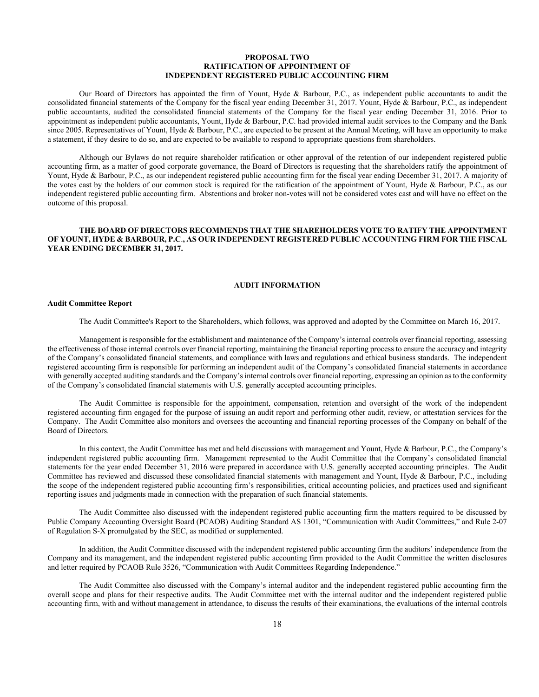## **PROPOSAL TWO RATIFICATION OF APPOINTMENT OF INDEPENDENT REGISTERED PUBLIC ACCOUNTING FIRM**

 Our Board of Directors has appointed the firm of Yount, Hyde & Barbour, P.C., as independent public accountants to audit the consolidated financial statements of the Company for the fiscal year ending December 31, 2017. Yount, Hyde & Barbour, P.C., as independent public accountants, audited the consolidated financial statements of the Company for the fiscal year ending December 31, 2016. Prior to appointment as independent public accountants, Yount, Hyde & Barbour, P.C. had provided internal audit services to the Company and the Bank since 2005. Representatives of Yount, Hyde & Barbour, P.C., are expected to be present at the Annual Meeting, will have an opportunity to make a statement, if they desire to do so, and are expected to be available to respond to appropriate questions from shareholders.

 Although our Bylaws do not require shareholder ratification or other approval of the retention of our independent registered public accounting firm, as a matter of good corporate governance, the Board of Directors is requesting that the shareholders ratify the appointment of Yount, Hyde & Barbour, P.C., as our independent registered public accounting firm for the fiscal year ending December 31, 2017. A majority of the votes cast by the holders of our common stock is required for the ratification of the appointment of Yount, Hyde & Barbour, P.C., as our independent registered public accounting firm. Abstentions and broker non-votes will not be considered votes cast and will have no effect on the outcome of this proposal.

# **THE BOARD OF DIRECTORS RECOMMENDS THAT THE SHAREHOLDERS VOTE TO RATIFY THE APPOINTMENT OF YOUNT, HYDE & BARBOUR, P.C**.**, AS OUR INDEPENDENT REGISTERED PUBLIC ACCOUNTING FIRM FOR THE FISCAL YEAR ENDING DECEMBER 31, 2017.**

#### **AUDIT INFORMATION**

## **Audit Committee Report**

The Audit Committee's Report to the Shareholders, which follows, was approved and adopted by the Committee on March 16, 2017.

Management is responsible for the establishment and maintenance of the Company's internal controls over financial reporting, assessing the effectiveness of those internal controls over financial reporting, maintaining the financial reporting process to ensure the accuracy and integrity of the Company's consolidated financial statements, and compliance with laws and regulations and ethical business standards. The independent registered accounting firm is responsible for performing an independent audit of the Company's consolidated financial statements in accordance with generally accepted auditing standards and the Company's internal controls over financial reporting, expressing an opinion as to the conformity of the Company's consolidated financial statements with U.S. generally accepted accounting principles.

The Audit Committee is responsible for the appointment, compensation, retention and oversight of the work of the independent registered accounting firm engaged for the purpose of issuing an audit report and performing other audit, review, or attestation services for the Company. The Audit Committee also monitors and oversees the accounting and financial reporting processes of the Company on behalf of the Board of Directors.

In this context, the Audit Committee has met and held discussions with management and Yount, Hyde & Barbour, P.C., the Company's independent registered public accounting firm. Management represented to the Audit Committee that the Company's consolidated financial statements for the year ended December 31, 2016 were prepared in accordance with U.S. generally accepted accounting principles. The Audit Committee has reviewed and discussed these consolidated financial statements with management and Yount, Hyde & Barbour, P.C., including the scope of the independent registered public accounting firm's responsibilities, critical accounting policies, and practices used and significant reporting issues and judgments made in connection with the preparation of such financial statements.

The Audit Committee also discussed with the independent registered public accounting firm the matters required to be discussed by Public Company Accounting Oversight Board (PCAOB) Auditing Standard AS 1301, "Communication with Audit Committees," and Rule 2-07 of Regulation S-X promulgated by the SEC, as modified or supplemented.

In addition, the Audit Committee discussed with the independent registered public accounting firm the auditors' independence from the Company and its management, and the independent registered public accounting firm provided to the Audit Committee the written disclosures and letter required by PCAOB Rule 3526, "Communication with Audit Committees Regarding Independence."

The Audit Committee also discussed with the Company's internal auditor and the independent registered public accounting firm the overall scope and plans for their respective audits. The Audit Committee met with the internal auditor and the independent registered public accounting firm, with and without management in attendance, to discuss the results of their examinations, the evaluations of the internal controls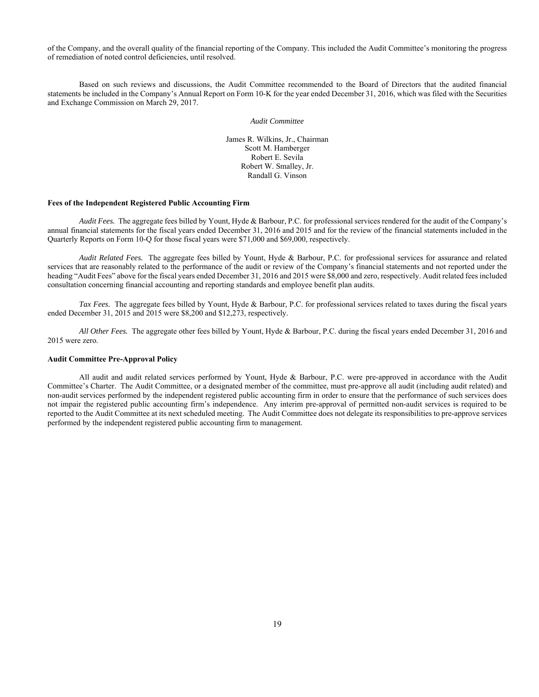of the Company, and the overall quality of the financial reporting of the Company. This included the Audit Committee's monitoring the progress of remediation of noted control deficiencies, until resolved.

Based on such reviews and discussions, the Audit Committee recommended to the Board of Directors that the audited financial statements be included in the Company's Annual Report on Form 10-K for the year ended December 31, 2016, which was filed with the Securities and Exchange Commission on March 29, 2017.

*Audit Committee* 

James R. Wilkins, Jr., Chairman Scott M. Hamberger Robert E. Sevila Robert W. Smalley, Jr. Randall G. Vinson

## **Fees of the Independent Registered Public Accounting Firm**

*Audit Fees.* The aggregate fees billed by Yount, Hyde & Barbour, P.C. for professional services rendered for the audit of the Company's annual financial statements for the fiscal years ended December 31, 2016 and 2015 and for the review of the financial statements included in the Quarterly Reports on Form 10-Q for those fiscal years were \$71,000 and \$69,000, respectively.

*Audit Related Fees.* The aggregate fees billed by Yount, Hyde & Barbour, P.C. for professional services for assurance and related services that are reasonably related to the performance of the audit or review of the Company's financial statements and not reported under the heading "Audit Fees" above for the fiscal years ended December 31, 2016 and 2015 were \$8,000 and zero, respectively. Audit related fees included consultation concerning financial accounting and reporting standards and employee benefit plan audits.

*Tax Fees.* The aggregate fees billed by Yount, Hyde & Barbour, P.C. for professional services related to taxes during the fiscal years ended December 31, 2015 and 2015 were \$8,200 and \$12,273, respectively.

*All Other Fees.* The aggregate other fees billed by Yount, Hyde & Barbour, P.C. during the fiscal years ended December 31, 2016 and 2015 were zero.

# **Audit Committee Pre-Approval Policy**

All audit and audit related services performed by Yount, Hyde & Barbour, P.C. were pre-approved in accordance with the Audit Committee's Charter. The Audit Committee, or a designated member of the committee, must pre-approve all audit (including audit related) and non-audit services performed by the independent registered public accounting firm in order to ensure that the performance of such services does not impair the registered public accounting firm's independence. Any interim pre-approval of permitted non-audit services is required to be reported to the Audit Committee at its next scheduled meeting. The Audit Committee does not delegate its responsibilities to pre-approve services performed by the independent registered public accounting firm to management.